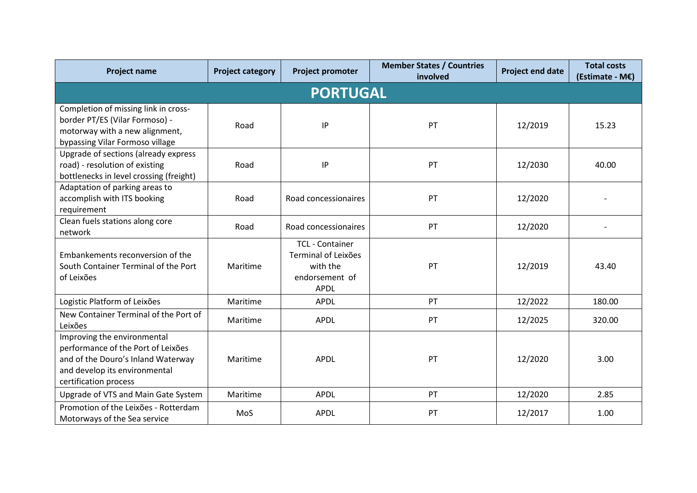| <b>Project name</b>                                                                                                                                               | <b>Project category</b> | <b>Project promoter</b>                                                                    | <b>Member States / Countries</b><br>involved | <b>Project end date</b> | <b>Total costs</b><br>(Estimate - M€) |  |  |  |  |  |
|-------------------------------------------------------------------------------------------------------------------------------------------------------------------|-------------------------|--------------------------------------------------------------------------------------------|----------------------------------------------|-------------------------|---------------------------------------|--|--|--|--|--|
| <b>PORTUGAL</b>                                                                                                                                                   |                         |                                                                                            |                                              |                         |                                       |  |  |  |  |  |
| Completion of missing link in cross-<br>border PT/ES (Vilar Formoso) -<br>motorway with a new alignment,<br>bypassing Vilar Formoso village                       | Road                    | IP                                                                                         | PT                                           | 12/2019                 | 15.23                                 |  |  |  |  |  |
| Upgrade of sections (already express<br>road) - resolution of existing<br>bottlenecks in level crossing (freight)                                                 | Road                    | IP                                                                                         | PT                                           | 12/2030                 | 40.00                                 |  |  |  |  |  |
| Adaptation of parking areas to<br>accomplish with ITS booking<br>requirement                                                                                      | Road                    | Road concessionaires                                                                       | PT                                           | 12/2020                 |                                       |  |  |  |  |  |
| Clean fuels stations along core<br>network                                                                                                                        | Road                    | Road concessionaires                                                                       | PT                                           | 12/2020                 |                                       |  |  |  |  |  |
| Embankements reconversion of the<br>South Container Terminal of the Port<br>of Leixões                                                                            | Maritime                | <b>TCL - Container</b><br>Terminal of Leixões<br>with the<br>endorsement of<br><b>APDL</b> | PT                                           | 12/2019                 | 43.40                                 |  |  |  |  |  |
| Logistic Platform of Leixões                                                                                                                                      | Maritime                | <b>APDL</b>                                                                                | PT                                           | 12/2022                 | 180.00                                |  |  |  |  |  |
| New Container Terminal of the Port of<br>Leixões                                                                                                                  | Maritime                | <b>APDL</b>                                                                                | PT                                           | 12/2025                 | 320.00                                |  |  |  |  |  |
| Improving the environmental<br>performance of the Port of Leixões<br>and of the Douro's Inland Waterway<br>and develop its environmental<br>certification process | Maritime                | <b>APDL</b>                                                                                | PT                                           | 12/2020                 | 3.00                                  |  |  |  |  |  |
| Upgrade of VTS and Main Gate System                                                                                                                               | Maritime                | <b>APDL</b>                                                                                | PT                                           | 12/2020                 | 2.85                                  |  |  |  |  |  |
| Promotion of the Leixões - Rotterdam<br>Motorways of the Sea service                                                                                              | MoS                     | <b>APDL</b>                                                                                | PT                                           | 12/2017                 | 1.00                                  |  |  |  |  |  |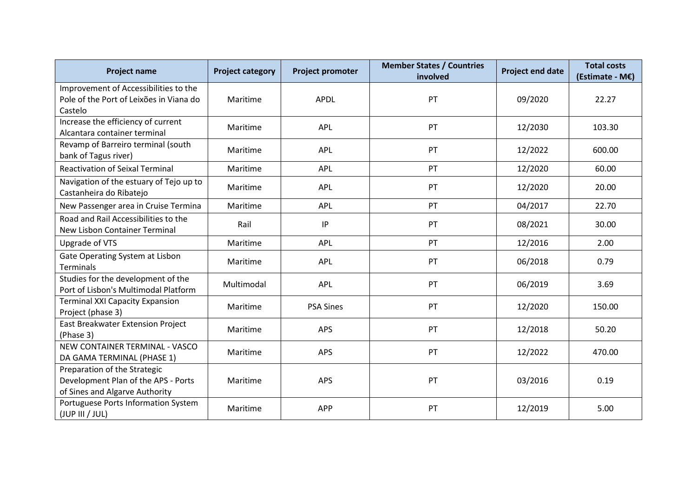| <b>Project name</b>                                                                                   | <b>Project category</b> | <b>Project promoter</b> | <b>Member States / Countries</b><br>involved | <b>Project end date</b> | <b>Total costs</b><br>(Estimate - M€) |
|-------------------------------------------------------------------------------------------------------|-------------------------|-------------------------|----------------------------------------------|-------------------------|---------------------------------------|
| Improvement of Accessibilities to the<br>Pole of the Port of Leixões in Viana do<br>Castelo           | Maritime                | <b>APDL</b>             | PT                                           | 09/2020                 | 22.27                                 |
| Increase the efficiency of current<br>Alcantara container terminal                                    | Maritime                | <b>APL</b>              | PT                                           | 12/2030                 | 103.30                                |
| Revamp of Barreiro terminal (south<br>bank of Tagus river)                                            | Maritime                | <b>APL</b>              | PT                                           | 12/2022                 | 600.00                                |
| <b>Reactivation of Seixal Terminal</b>                                                                | Maritime                | <b>APL</b>              | PT                                           | 12/2020                 | 60.00                                 |
| Navigation of the estuary of Tejo up to<br>Castanheira do Ribatejo                                    | Maritime                | <b>APL</b>              | PT                                           | 12/2020                 | 20.00                                 |
| New Passenger area in Cruise Termina                                                                  | Maritime                | <b>APL</b>              | PT                                           | 04/2017                 | 22.70                                 |
| Road and Rail Accessibilities to the<br>New Lisbon Container Terminal                                 | Rail                    | IP                      | PT                                           | 08/2021                 | 30.00                                 |
| Upgrade of VTS                                                                                        | Maritime                | APL                     | PT                                           | 12/2016                 | 2.00                                  |
| Gate Operating System at Lisbon<br><b>Terminals</b>                                                   | Maritime                | <b>APL</b>              | PT                                           | 06/2018                 | 0.79                                  |
| Studies for the development of the<br>Port of Lisbon's Multimodal Platform                            | Multimodal              | <b>APL</b>              | PT                                           | 06/2019                 | 3.69                                  |
| <b>Terminal XXI Capacity Expansion</b><br>Project (phase 3)                                           | Maritime                | <b>PSA Sines</b>        | PT                                           | 12/2020                 | 150.00                                |
| East Breakwater Extension Project<br>(Phase 3)                                                        | Maritime                | <b>APS</b>              | PT                                           | 12/2018                 | 50.20                                 |
| NEW CONTAINER TERMINAL - VASCO<br>DA GAMA TERMINAL (PHASE 1)                                          | Maritime                | APS                     | PT                                           | 12/2022                 | 470.00                                |
| Preparation of the Strategic<br>Development Plan of the APS - Ports<br>of Sines and Algarve Authority | Maritime                | <b>APS</b>              | PT                                           | 03/2016                 | 0.19                                  |
| Portuguese Ports Information System<br>(JUP III / JUL)                                                | Maritime                | <b>APP</b>              | PT                                           | 12/2019                 | 5.00                                  |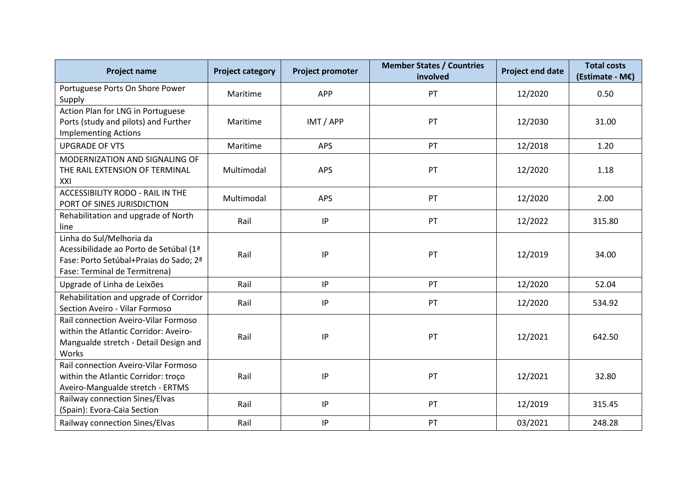| <b>Project name</b>                                                                                                                           | <b>Project category</b> | <b>Project promoter</b> | <b>Member States / Countries</b><br>involved | <b>Project end date</b> | <b>Total costs</b><br>(Estimate - M€) |
|-----------------------------------------------------------------------------------------------------------------------------------------------|-------------------------|-------------------------|----------------------------------------------|-------------------------|---------------------------------------|
| Portuguese Ports On Shore Power<br>Supply                                                                                                     | Maritime                | <b>APP</b>              | PT                                           | 12/2020                 | 0.50                                  |
| Action Plan for LNG in Portuguese<br>Ports (study and pilots) and Further<br><b>Implementing Actions</b>                                      | Maritime                | IMT / APP               | PT                                           | 12/2030                 | 31.00                                 |
| <b>UPGRADE OF VTS</b>                                                                                                                         | Maritime                | <b>APS</b>              | PT                                           | 12/2018                 | 1.20                                  |
| MODERNIZATION AND SIGNALING OF<br>THE RAIL EXTENSION OF TERMINAL<br>XXI                                                                       | Multimodal              | <b>APS</b>              | PT                                           | 12/2020                 | 1.18                                  |
| <b>ACCESSIBILITY RODO - RAIL IN THE</b><br>PORT OF SINES JURISDICTION                                                                         | Multimodal              | APS                     | PT                                           | 12/2020                 | 2.00                                  |
| Rehabilitation and upgrade of North<br>line                                                                                                   | Rail                    | IP                      | PT                                           | 12/2022                 | 315.80                                |
| Linha do Sul/Melhoria da<br>Acessibilidade ao Porto de Setúbal (1ª<br>Fase: Porto Setúbal+Praias do Sado; 2ª<br>Fase: Terminal de Termitrena) | Rail                    | P                       | PT                                           | 12/2019                 | 34.00                                 |
| Upgrade of Linha de Leixões                                                                                                                   | Rail                    | IP                      | PT                                           | 12/2020                 | 52.04                                 |
| Rehabilitation and upgrade of Corridor<br>Section Aveiro - Vilar Formoso                                                                      | Rail                    | IP                      | PT                                           | 12/2020                 | 534.92                                |
| Rail connection Aveiro-Vilar Formoso<br>within the Atlantic Corridor: Aveiro-<br>Mangualde stretch - Detail Design and<br>Works               | Rail                    | P                       | PT                                           | 12/2021                 | 642.50                                |
| Rail connection Aveiro-Vilar Formoso<br>within the Atlantic Corridor: troco<br>Aveiro-Mangualde stretch - ERTMS                               | Rail                    | P                       | PT                                           | 12/2021                 | 32.80                                 |
| Railway connection Sines/Elvas<br>(Spain): Evora-Caia Section                                                                                 | Rail                    | IP                      | PT                                           | 12/2019                 | 315.45                                |
| Railway connection Sines/Elvas                                                                                                                | Rail                    | IP                      | PT                                           | 03/2021                 | 248.28                                |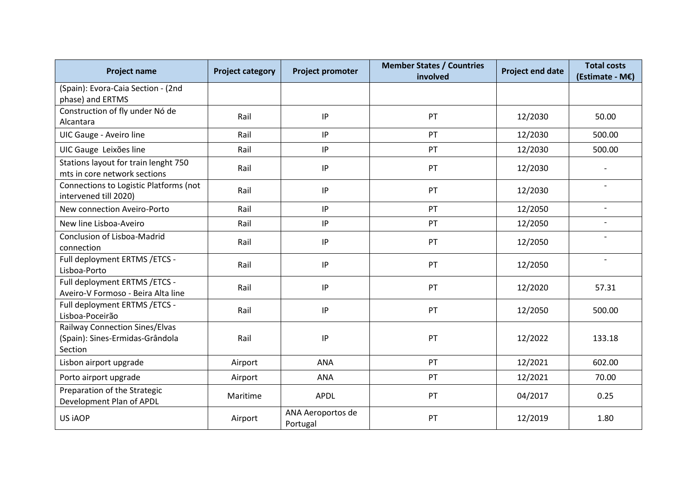| <b>Project name</b>                                                                 | <b>Project category</b> | Project promoter              | <b>Member States / Countries</b><br>involved | <b>Project end date</b> | <b>Total costs</b><br>(Estimate - M€) |
|-------------------------------------------------------------------------------------|-------------------------|-------------------------------|----------------------------------------------|-------------------------|---------------------------------------|
| (Spain): Evora-Caia Section - (2nd<br>phase) and ERTMS                              |                         |                               |                                              |                         |                                       |
| Construction of fly under Nó de<br>Alcantara                                        | Rail                    | IP                            | PT                                           | 12/2030                 | 50.00                                 |
| UIC Gauge - Aveiro line                                                             | Rail                    | IP                            | PT                                           | 12/2030                 | 500.00                                |
| UIC Gauge Leixões line                                                              | Rail                    | $\sf IP$                      | PT                                           | 12/2030                 | 500.00                                |
| Stations layout for train lenght 750<br>mts in core network sections                | Rail                    | IP                            | PT                                           | 12/2030                 |                                       |
| Connections to Logistic Platforms (not<br>intervened till 2020)                     | Rail                    | IP                            | PT                                           | 12/2030                 | $\overline{\phantom{0}}$              |
| New connection Aveiro-Porto                                                         | Rail                    | $\sf IP$                      | PT                                           | 12/2050                 | $\overline{\phantom{a}}$              |
| New line Lisboa-Aveiro                                                              | Rail                    | IP                            | PT                                           | 12/2050                 |                                       |
| <b>Conclusion of Lisboa-Madrid</b><br>connection                                    | Rail                    | IP                            | PT                                           | 12/2050                 |                                       |
| Full deployment ERTMS / ETCS -<br>Lisboa-Porto                                      | Rail                    | IP                            | PT                                           | 12/2050                 | $\overline{\phantom{a}}$              |
| Full deployment ERTMS / ETCS -<br>Aveiro-V Formoso - Beira Alta line                | Rail                    | IP                            | PT                                           | 12/2020                 | 57.31                                 |
| Full deployment ERTMS / ETCS -<br>Lisboa-Poceirão                                   | Rail                    | $\sf IP$                      | PT                                           | 12/2050                 | 500.00                                |
| <b>Railway Connection Sines/Elvas</b><br>(Spain): Sines-Ermidas-Grândola<br>Section | Rail                    | IP                            | PT                                           | 12/2022                 | 133.18                                |
| Lisbon airport upgrade                                                              | Airport                 | <b>ANA</b>                    | PT                                           | 12/2021                 | 602.00                                |
| Porto airport upgrade                                                               | Airport                 | <b>ANA</b>                    | PT                                           | 12/2021                 | 70.00                                 |
| Preparation of the Strategic<br>Development Plan of APDL                            | Maritime                | <b>APDL</b>                   | PT                                           | 04/2017                 | 0.25                                  |
| US iAOP                                                                             | Airport                 | ANA Aeroportos de<br>Portugal | PT                                           | 12/2019                 | 1.80                                  |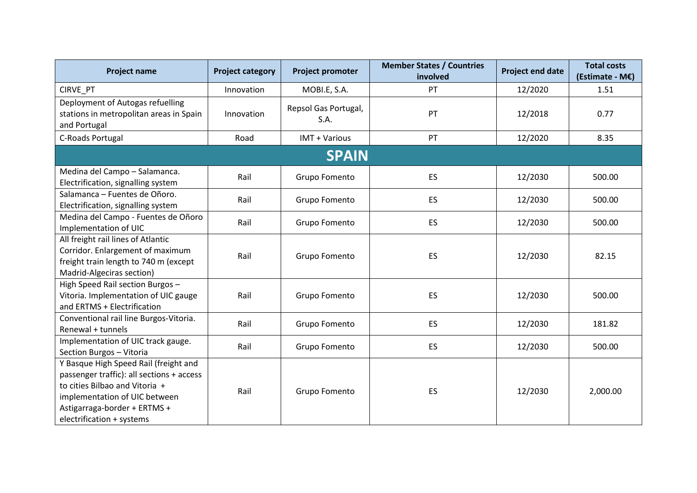| <b>Project name</b>                                                                                                                                                                                                | <b>Project category</b> | Project promoter             | <b>Member States / Countries</b><br>involved | <b>Project end date</b> | <b>Total costs</b><br>(Estimate - M€) |
|--------------------------------------------------------------------------------------------------------------------------------------------------------------------------------------------------------------------|-------------------------|------------------------------|----------------------------------------------|-------------------------|---------------------------------------|
| CIRVE_PT                                                                                                                                                                                                           | Innovation              | MOBI.E, S.A.                 | PT                                           | 12/2020                 | 1.51                                  |
| Deployment of Autogas refuelling<br>stations in metropolitan areas in Spain<br>and Portugal                                                                                                                        | Innovation              | Repsol Gas Portugal,<br>S.A. | PT                                           | 12/2018                 | 0.77                                  |
| C-Roads Portugal                                                                                                                                                                                                   | Road                    | IMT + Various                | PT                                           | 12/2020                 | 8.35                                  |
|                                                                                                                                                                                                                    |                         | <b>SPAIN</b>                 |                                              |                         |                                       |
| Medina del Campo - Salamanca.<br>Electrification, signalling system                                                                                                                                                | Rail                    | Grupo Fomento                | ES                                           | 12/2030                 | 500.00                                |
| Salamanca - Fuentes de Oñoro.<br>Electrification, signalling system                                                                                                                                                | Rail                    | Grupo Fomento                | ES                                           | 12/2030                 | 500.00                                |
| Medina del Campo - Fuentes de Oñoro<br>Implementation of UIC                                                                                                                                                       | Rail                    | Grupo Fomento                | ES                                           | 12/2030                 | 500.00                                |
| All freight rail lines of Atlantic<br>Corridor. Enlargement of maximum<br>freight train length to 740 m (except<br>Madrid-Algeciras section)                                                                       | Rail                    | Grupo Fomento                | ES                                           | 12/2030                 | 82.15                                 |
| High Speed Rail section Burgos -<br>Vitoria. Implementation of UIC gauge<br>and ERTMS + Electrification                                                                                                            | Rail                    | Grupo Fomento                | ES                                           | 12/2030                 | 500.00                                |
| Conventional rail line Burgos-Vitoria.<br>Renewal + tunnels                                                                                                                                                        | Rail                    | Grupo Fomento                | <b>ES</b>                                    | 12/2030                 | 181.82                                |
| Implementation of UIC track gauge.<br>Section Burgos - Vitoria                                                                                                                                                     | Rail                    | Grupo Fomento                | ES                                           | 12/2030                 | 500.00                                |
| Y Basque High Speed Rail (freight and<br>passenger traffic): all sections + access<br>to cities Bilbao and Vitoria +<br>implementation of UIC between<br>Astigarraga-border + ERTMS +<br>electrification + systems | Rail                    | Grupo Fomento                | ES                                           | 12/2030                 | 2,000.00                              |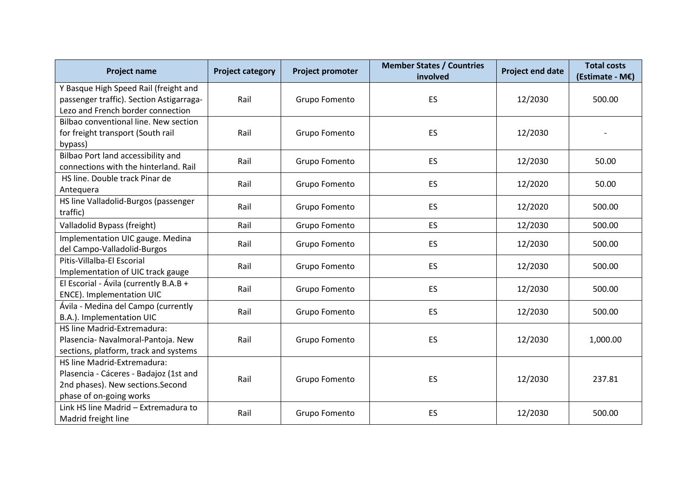| <b>Project name</b>                                                                                                                   | <b>Project category</b> | <b>Project promoter</b> | <b>Member States / Countries</b><br>involved | <b>Project end date</b> | <b>Total costs</b><br>(Estimate - M€) |
|---------------------------------------------------------------------------------------------------------------------------------------|-------------------------|-------------------------|----------------------------------------------|-------------------------|---------------------------------------|
| Y Basque High Speed Rail (freight and<br>passenger traffic). Section Astigarraga-<br>Lezo and French border connection                | Rail                    | Grupo Fomento           | ES                                           | 12/2030                 | 500.00                                |
| Bilbao conventional line. New section<br>for freight transport (South rail<br>bypass)                                                 | Rail                    | Grupo Fomento           | ES                                           | 12/2030                 |                                       |
| Bilbao Port land accessibility and<br>connections with the hinterland. Rail                                                           | Rail                    | Grupo Fomento           | ES                                           | 12/2030                 | 50.00                                 |
| HS line. Double track Pinar de<br>Antequera                                                                                           | Rail                    | Grupo Fomento           | ES                                           | 12/2020                 | 50.00                                 |
| HS line Valladolid-Burgos (passenger<br>traffic)                                                                                      | Rail                    | Grupo Fomento           | <b>ES</b>                                    | 12/2020                 | 500.00                                |
| Valladolid Bypass (freight)                                                                                                           | Rail                    | Grupo Fomento           | ES                                           | 12/2030                 | 500.00                                |
| Implementation UIC gauge. Medina<br>del Campo-Valladolid-Burgos                                                                       | Rail                    | Grupo Fomento           | ES                                           | 12/2030                 | 500.00                                |
| Pitis-Villalba-El Escorial<br>Implementation of UIC track gauge                                                                       | Rail                    | Grupo Fomento           | ES                                           | 12/2030                 | 500.00                                |
| El Escorial - Ávila (currently B.A.B +<br>ENCE). Implementation UIC                                                                   | Rail                    | Grupo Fomento           | ES                                           | 12/2030                 | 500.00                                |
| Ávila - Medina del Campo (currently<br>B.A.). Implementation UIC                                                                      | Rail                    | Grupo Fomento           | ES                                           | 12/2030                 | 500.00                                |
| HS line Madrid-Extremadura:<br>Plasencia- Navalmoral-Pantoja. New<br>sections, platform, track and systems                            | Rail                    | Grupo Fomento           | ES                                           | 12/2030                 | 1,000.00                              |
| HS line Madrid-Extremadura:<br>Plasencia - Cáceres - Badajoz (1st and<br>2nd phases). New sections. Second<br>phase of on-going works | Rail                    | Grupo Fomento           | ES                                           | 12/2030                 | 237.81                                |
| Link HS line Madrid - Extremadura to<br>Madrid freight line                                                                           | Rail                    | Grupo Fomento           | ES                                           | 12/2030                 | 500.00                                |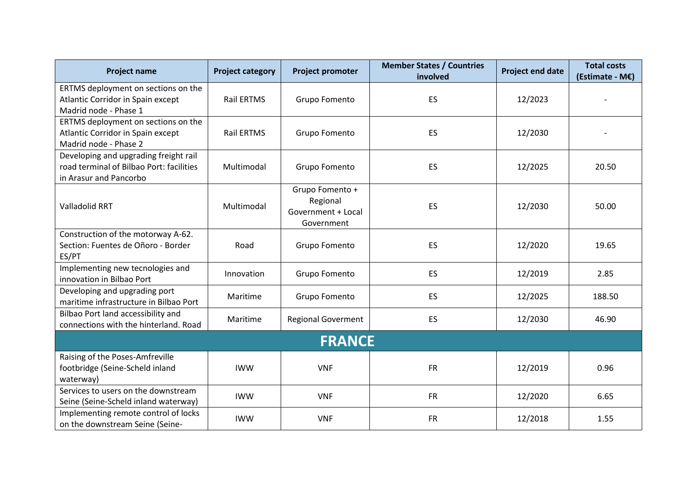| <b>Project name</b>                                                                                         | <b>Project category</b> | <b>Project promoter</b>                                         | <b>Member States / Countries</b><br>involved | <b>Project end date</b> | <b>Total costs</b><br>(Estimate - M€) |
|-------------------------------------------------------------------------------------------------------------|-------------------------|-----------------------------------------------------------------|----------------------------------------------|-------------------------|---------------------------------------|
| ERTMS deployment on sections on the<br>Atlantic Corridor in Spain except<br>Madrid node - Phase 1           | <b>Rail ERTMS</b>       | Grupo Fomento                                                   | ES                                           | 12/2023                 |                                       |
| ERTMS deployment on sections on the<br>Atlantic Corridor in Spain except<br>Madrid node - Phase 2           | <b>Rail ERTMS</b>       | Grupo Fomento                                                   | ES                                           | 12/2030                 |                                       |
| Developing and upgrading freight rail<br>road terminal of Bilbao Port: facilities<br>in Arasur and Pancorbo | Multimodal              | Grupo Fomento                                                   | ES                                           | 12/2025                 | 20.50                                 |
| <b>Valladolid RRT</b>                                                                                       | Multimodal              | Grupo Fomento +<br>Regional<br>Government + Local<br>Government | <b>ES</b>                                    | 12/2030                 | 50.00                                 |
| Construction of the motorway A-62.<br>Section: Fuentes de Oñoro - Border<br>ES/PT                           | Road                    | Grupo Fomento                                                   | ES.                                          | 12/2020                 | 19.65                                 |
| Implementing new tecnologies and<br>innovation in Bilbao Port                                               | Innovation              | Grupo Fomento                                                   | ES                                           | 12/2019                 | 2.85                                  |
| Developing and upgrading port<br>maritime infrastructure in Bilbao Port                                     | Maritime                | Grupo Fomento                                                   | ES.                                          | 12/2025                 | 188.50                                |
| Bilbao Port land accessibility and<br>connections with the hinterland. Road                                 | Maritime                | <b>Regional Goverment</b>                                       | ES.                                          | 12/2030                 | 46.90                                 |
|                                                                                                             |                         | <b>FRANCE</b>                                                   |                                              |                         |                                       |
| Raising of the Poses-Amfreville<br>footbridge (Seine-Scheld inland<br>waterway)                             | <b>IWW</b>              | <b>VNF</b>                                                      | <b>FR</b>                                    | 12/2019                 | 0.96                                  |
| Services to users on the downstream<br>Seine (Seine-Scheld inland waterway)                                 | <b>IWW</b>              | <b>VNF</b>                                                      | <b>FR</b>                                    | 12/2020                 | 6.65                                  |
| Implementing remote control of locks<br>on the downstream Seine (Seine-                                     | <b>IWW</b>              | <b>VNF</b>                                                      | <b>FR</b>                                    | 12/2018                 | 1.55                                  |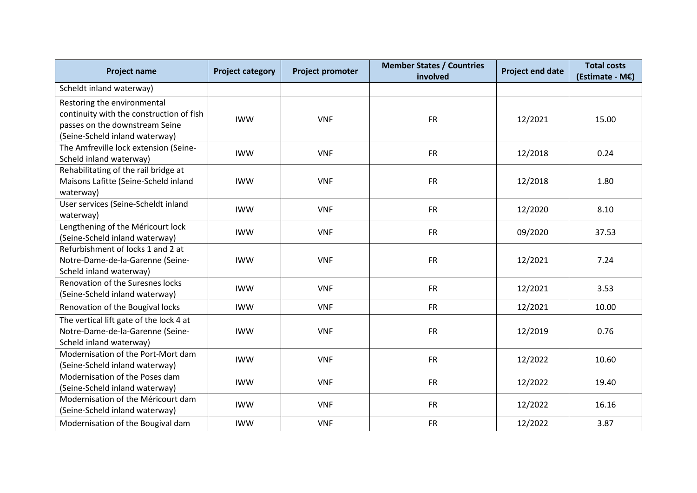| <b>Project name</b>                                                                                                                         | <b>Project category</b> | <b>Project promoter</b> | <b>Member States / Countries</b><br>involved | <b>Project end date</b> | <b>Total costs</b><br>(Estimate - M€) |
|---------------------------------------------------------------------------------------------------------------------------------------------|-------------------------|-------------------------|----------------------------------------------|-------------------------|---------------------------------------|
| Scheldt inland waterway)                                                                                                                    |                         |                         |                                              |                         |                                       |
| Restoring the environmental<br>continuity with the construction of fish<br>passes on the downstream Seine<br>(Seine-Scheld inland waterway) | <b>IWW</b>              | <b>VNF</b>              | <b>FR</b>                                    | 12/2021                 | 15.00                                 |
| The Amfreville lock extension (Seine-<br>Scheld inland waterway)                                                                            | <b>IWW</b>              | <b>VNF</b>              | <b>FR</b>                                    | 12/2018                 | 0.24                                  |
| Rehabilitating of the rail bridge at<br>Maisons Lafitte (Seine-Scheld inland<br>waterway)                                                   | <b>IWW</b>              | <b>VNF</b>              | <b>FR</b>                                    | 12/2018                 | 1.80                                  |
| User services (Seine-Scheldt inland<br>waterway)                                                                                            | <b>IWW</b>              | <b>VNF</b>              | <b>FR</b>                                    | 12/2020                 | 8.10                                  |
| Lengthening of the Méricourt lock<br>(Seine-Scheld inland waterway)                                                                         | <b>IWW</b>              | <b>VNF</b>              | <b>FR</b>                                    | 09/2020                 | 37.53                                 |
| Refurbishment of locks 1 and 2 at<br>Notre-Dame-de-la-Garenne (Seine-<br>Scheld inland waterway)                                            | <b>IWW</b>              | <b>VNF</b>              | <b>FR</b>                                    | 12/2021                 | 7.24                                  |
| Renovation of the Suresnes locks<br>(Seine-Scheld inland waterway)                                                                          | <b>IWW</b>              | <b>VNF</b>              | <b>FR</b>                                    | 12/2021                 | 3.53                                  |
| Renovation of the Bougival locks                                                                                                            | <b>IWW</b>              | <b>VNF</b>              | <b>FR</b>                                    | 12/2021                 | 10.00                                 |
| The vertical lift gate of the lock 4 at<br>Notre-Dame-de-la-Garenne (Seine-<br>Scheld inland waterway)                                      | <b>IWW</b>              | <b>VNF</b>              | <b>FR</b>                                    | 12/2019                 | 0.76                                  |
| Modernisation of the Port-Mort dam<br>(Seine-Scheld inland waterway)                                                                        | <b>IWW</b>              | <b>VNF</b>              | <b>FR</b>                                    | 12/2022                 | 10.60                                 |
| Modernisation of the Poses dam<br>(Seine-Scheld inland waterway)                                                                            | <b>IWW</b>              | <b>VNF</b>              | <b>FR</b>                                    | 12/2022                 | 19.40                                 |
| Modernisation of the Méricourt dam<br>(Seine-Scheld inland waterway)                                                                        | <b>IWW</b>              | <b>VNF</b>              | <b>FR</b>                                    | 12/2022                 | 16.16                                 |
| Modernisation of the Bougival dam                                                                                                           | <b>IWW</b>              | <b>VNF</b>              | <b>FR</b>                                    | 12/2022                 | 3.87                                  |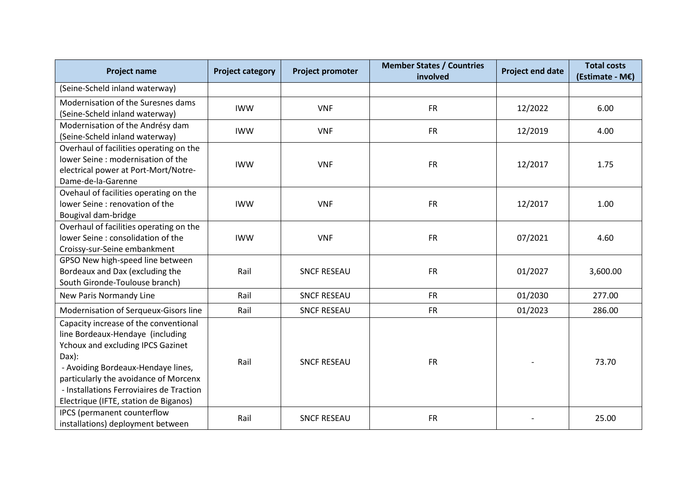| <b>Project name</b>                                                                                                                                                                                                                                                                                | <b>Project category</b> | <b>Project promoter</b> | <b>Member States / Countries</b><br>involved | <b>Project end date</b> | <b>Total costs</b><br>(Estimate - M€) |
|----------------------------------------------------------------------------------------------------------------------------------------------------------------------------------------------------------------------------------------------------------------------------------------------------|-------------------------|-------------------------|----------------------------------------------|-------------------------|---------------------------------------|
| (Seine-Scheld inland waterway)                                                                                                                                                                                                                                                                     |                         |                         |                                              |                         |                                       |
| Modernisation of the Suresnes dams<br>(Seine-Scheld inland waterway)                                                                                                                                                                                                                               | <b>IWW</b>              | <b>VNF</b>              | <b>FR</b>                                    | 12/2022                 | 6.00                                  |
| Modernisation of the Andrésy dam<br>(Seine-Scheld inland waterway)                                                                                                                                                                                                                                 | <b>IWW</b>              | <b>VNF</b>              | <b>FR</b>                                    | 12/2019                 | 4.00                                  |
| Overhaul of facilities operating on the<br>lower Seine: modernisation of the<br>electrical power at Port-Mort/Notre-<br>Dame-de-la-Garenne                                                                                                                                                         | <b>IWW</b>              | <b>VNF</b>              | <b>FR</b>                                    | 12/2017                 | 1.75                                  |
| Ovehaul of facilities operating on the<br>lower Seine: renovation of the<br>Bougival dam-bridge                                                                                                                                                                                                    | <b>IWW</b>              | <b>VNF</b>              | <b>FR</b>                                    | 12/2017                 | 1.00                                  |
| Overhaul of facilities operating on the<br>lower Seine: consolidation of the<br>Croissy-sur-Seine embankment                                                                                                                                                                                       | <b>IWW</b>              | <b>VNF</b>              | <b>FR</b>                                    | 07/2021                 | 4.60                                  |
| GPSO New high-speed line between<br>Bordeaux and Dax (excluding the<br>South Gironde-Toulouse branch)                                                                                                                                                                                              | Rail                    | <b>SNCF RESEAU</b>      | <b>FR</b>                                    | 01/2027                 | 3,600.00                              |
| New Paris Normandy Line                                                                                                                                                                                                                                                                            | Rail                    | <b>SNCF RESEAU</b>      | <b>FR</b>                                    | 01/2030                 | 277.00                                |
| Modernisation of Serqueux-Gisors line                                                                                                                                                                                                                                                              | Rail                    | <b>SNCF RESEAU</b>      | <b>FR</b>                                    | 01/2023                 | 286.00                                |
| Capacity increase of the conventional<br>line Bordeaux-Hendaye (including<br><b>Ychoux and excluding IPCS Gazinet</b><br>Dax):<br>- Avoiding Bordeaux-Hendaye lines,<br>particularly the avoidance of Morcenx<br>- Installations Ferroviaires de Traction<br>Electrique (IFTE, station de Biganos) | Rail                    | <b>SNCF RESEAU</b>      | <b>FR</b>                                    |                         | 73.70                                 |
| IPCS (permanent counterflow<br>installations) deployment between                                                                                                                                                                                                                                   | Rail                    | <b>SNCF RESEAU</b>      | <b>FR</b>                                    |                         | 25.00                                 |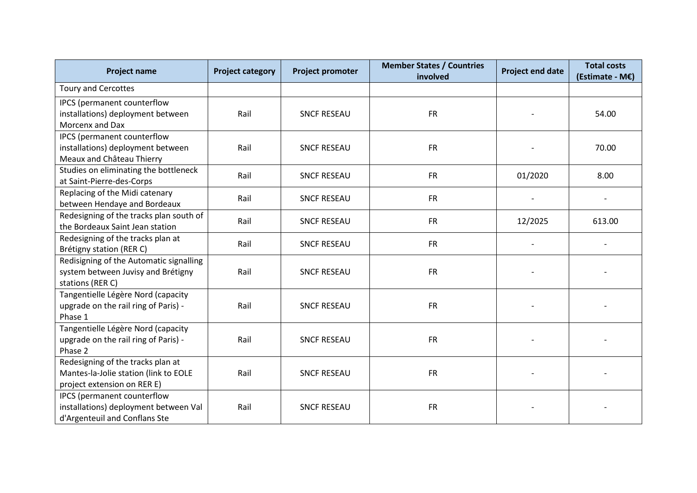| <b>Project name</b>                                                                                       | <b>Project category</b> | Project promoter   | <b>Member States / Countries</b><br>involved | <b>Project end date</b> | <b>Total costs</b><br>(Estimate - M€) |
|-----------------------------------------------------------------------------------------------------------|-------------------------|--------------------|----------------------------------------------|-------------------------|---------------------------------------|
| <b>Toury and Cercottes</b>                                                                                |                         |                    |                                              |                         |                                       |
| IPCS (permanent counterflow<br>installations) deployment between<br>Morcenx and Dax                       | Rail                    | <b>SNCF RESEAU</b> | <b>FR</b>                                    |                         | 54.00                                 |
| IPCS (permanent counterflow<br>installations) deployment between<br>Meaux and Château Thierry             | Rail                    | <b>SNCF RESEAU</b> | <b>FR</b>                                    |                         | 70.00                                 |
| Studies on eliminating the bottleneck<br>at Saint-Pierre-des-Corps                                        | Rail                    | <b>SNCF RESEAU</b> | <b>FR</b>                                    | 01/2020                 | 8.00                                  |
| Replacing of the Midi catenary<br>between Hendaye and Bordeaux                                            | Rail                    | <b>SNCF RESEAU</b> | <b>FR</b>                                    |                         |                                       |
| Redesigning of the tracks plan south of<br>the Bordeaux Saint Jean station                                | Rail                    | <b>SNCF RESEAU</b> | <b>FR</b>                                    | 12/2025                 | 613.00                                |
| Redesigning of the tracks plan at<br>Brétigny station (RER C)                                             | Rail                    | <b>SNCF RESEAU</b> | <b>FR</b>                                    |                         |                                       |
| Redisigning of the Automatic signalling<br>system between Juvisy and Brétigny<br>stations (RER C)         | Rail                    | <b>SNCF RESEAU</b> | <b>FR</b>                                    |                         |                                       |
| Tangentielle Légère Nord (capacity<br>upgrade on the rail ring of Paris) -<br>Phase 1                     | Rail                    | <b>SNCF RESEAU</b> | <b>FR</b>                                    |                         |                                       |
| Tangentielle Légère Nord (capacity<br>upgrade on the rail ring of Paris) -<br>Phase 2                     | Rail                    | <b>SNCF RESEAU</b> | <b>FR</b>                                    |                         |                                       |
| Redesigning of the tracks plan at<br>Mantes-la-Jolie station (link to EOLE<br>project extension on RER E) | Rail                    | <b>SNCF RESEAU</b> | <b>FR</b>                                    |                         |                                       |
| IPCS (permanent counterflow<br>installations) deployment between Val<br>d'Argenteuil and Conflans Ste     | Rail                    | <b>SNCF RESEAU</b> | <b>FR</b>                                    |                         |                                       |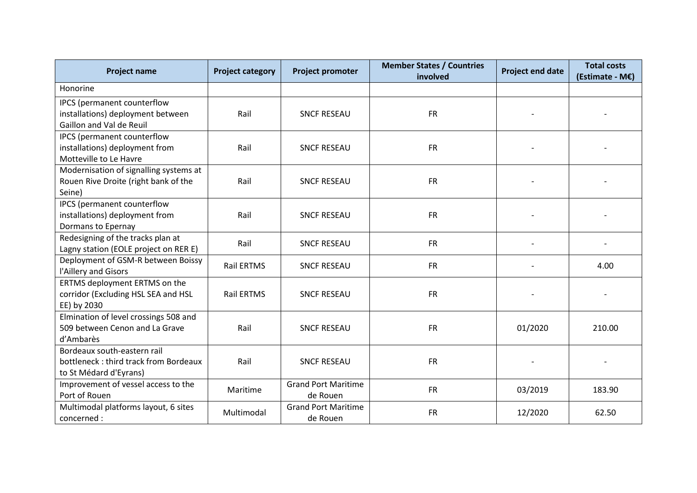| <b>Project name</b>                                                                            | <b>Project category</b> | <b>Project promoter</b>                | <b>Member States / Countries</b><br>involved | <b>Project end date</b> | <b>Total costs</b><br>(Estimate - M€) |
|------------------------------------------------------------------------------------------------|-------------------------|----------------------------------------|----------------------------------------------|-------------------------|---------------------------------------|
| Honorine                                                                                       |                         |                                        |                                              |                         |                                       |
| IPCS (permanent counterflow<br>installations) deployment between<br>Gaillon and Val de Reuil   | Rail                    | <b>SNCF RESEAU</b>                     | <b>FR</b>                                    |                         |                                       |
| IPCS (permanent counterflow<br>installations) deployment from<br>Motteville to Le Havre        | Rail                    | <b>SNCF RESEAU</b>                     | <b>FR</b>                                    |                         |                                       |
| Modernisation of signalling systems at<br>Rouen Rive Droite (right bank of the<br>Seine)       | Rail                    | <b>SNCF RESEAU</b>                     | <b>FR</b>                                    |                         |                                       |
| IPCS (permanent counterflow<br>installations) deployment from<br>Dormans to Epernay            | Rail                    | <b>SNCF RESEAU</b>                     | <b>FR</b>                                    |                         |                                       |
| Redesigning of the tracks plan at<br>Lagny station (EOLE project on RER E)                     | Rail                    | <b>SNCF RESEAU</b>                     | <b>FR</b>                                    |                         |                                       |
| Deployment of GSM-R between Boissy<br>l'Aillery and Gisors                                     | Rail ERTMS              | <b>SNCF RESEAU</b>                     | <b>FR</b>                                    |                         | 4.00                                  |
| ERTMS deployment ERTMS on the<br>corridor (Excluding HSL SEA and HSL<br>EE) by 2030            | Rail ERTMS              | <b>SNCF RESEAU</b>                     | <b>FR</b>                                    |                         |                                       |
| Elmination of level crossings 508 and<br>509 between Cenon and La Grave<br>d'Ambarès           | Rail                    | <b>SNCF RESEAU</b>                     | <b>FR</b>                                    | 01/2020                 | 210.00                                |
| Bordeaux south-eastern rail<br>bottleneck: third track from Bordeaux<br>to St Médard d'Eyrans) | Rail                    | <b>SNCF RESEAU</b>                     | <b>FR</b>                                    |                         |                                       |
| Improvement of vessel access to the<br>Port of Rouen                                           | Maritime                | <b>Grand Port Maritime</b><br>de Rouen | <b>FR</b>                                    | 03/2019                 | 183.90                                |
| Multimodal platforms layout, 6 sites<br>concerned :                                            | Multimodal              | <b>Grand Port Maritime</b><br>de Rouen | <b>FR</b>                                    | 12/2020                 | 62.50                                 |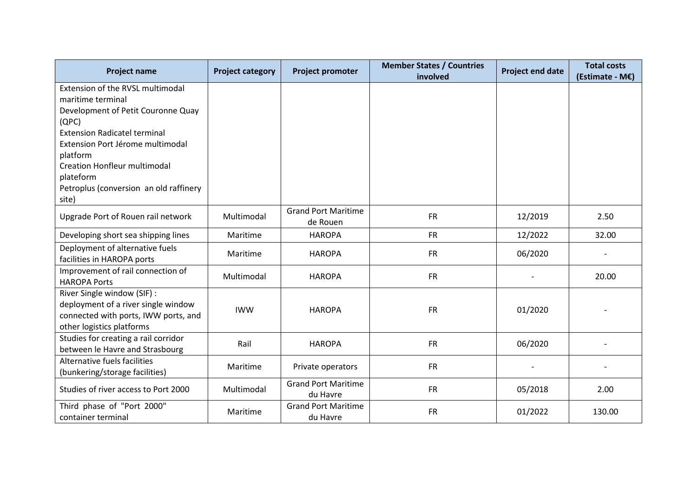| <b>Project name</b>                                                                                                                                                                                                                                                                                                                                                                                                                                                                                                                                                                                                             | <b>Project category</b>            | <b>Project promoter</b>                                                                                                                                                       | <b>Member States / Countries</b><br>involved     | <b>Project end date</b>       | <b>Total costs</b><br>(Estimate - M€) |
|---------------------------------------------------------------------------------------------------------------------------------------------------------------------------------------------------------------------------------------------------------------------------------------------------------------------------------------------------------------------------------------------------------------------------------------------------------------------------------------------------------------------------------------------------------------------------------------------------------------------------------|------------------------------------|-------------------------------------------------------------------------------------------------------------------------------------------------------------------------------|--------------------------------------------------|-------------------------------|---------------------------------------|
| Extension of the RVSL multimodal                                                                                                                                                                                                                                                                                                                                                                                                                                                                                                                                                                                                |                                    |                                                                                                                                                                               |                                                  |                               |                                       |
| maritime terminal                                                                                                                                                                                                                                                                                                                                                                                                                                                                                                                                                                                                               |                                    |                                                                                                                                                                               |                                                  |                               |                                       |
| Development of Petit Couronne Quay                                                                                                                                                                                                                                                                                                                                                                                                                                                                                                                                                                                              |                                    |                                                                                                                                                                               |                                                  |                               |                                       |
| (QPC)                                                                                                                                                                                                                                                                                                                                                                                                                                                                                                                                                                                                                           |                                    |                                                                                                                                                                               |                                                  |                               |                                       |
| <b>Extension Radicatel terminal</b>                                                                                                                                                                                                                                                                                                                                                                                                                                                                                                                                                                                             |                                    |                                                                                                                                                                               |                                                  |                               |                                       |
| Extension Port Jérome multimodal                                                                                                                                                                                                                                                                                                                                                                                                                                                                                                                                                                                                |                                    |                                                                                                                                                                               |                                                  |                               |                                       |
|                                                                                                                                                                                                                                                                                                                                                                                                                                                                                                                                                                                                                                 |                                    |                                                                                                                                                                               |                                                  |                               |                                       |
|                                                                                                                                                                                                                                                                                                                                                                                                                                                                                                                                                                                                                                 |                                    |                                                                                                                                                                               |                                                  |                               |                                       |
|                                                                                                                                                                                                                                                                                                                                                                                                                                                                                                                                                                                                                                 |                                    |                                                                                                                                                                               |                                                  |                               |                                       |
|                                                                                                                                                                                                                                                                                                                                                                                                                                                                                                                                                                                                                                 |                                    |                                                                                                                                                                               |                                                  |                               |                                       |
|                                                                                                                                                                                                                                                                                                                                                                                                                                                                                                                                                                                                                                 |                                    |                                                                                                                                                                               |                                                  |                               |                                       |
| Upgrade Port of Rouen rail network                                                                                                                                                                                                                                                                                                                                                                                                                                                                                                                                                                                              | Multimodal                         |                                                                                                                                                                               | <b>FR</b>                                        | 12/2019                       | 2.50                                  |
|                                                                                                                                                                                                                                                                                                                                                                                                                                                                                                                                                                                                                                 |                                    |                                                                                                                                                                               |                                                  |                               |                                       |
|                                                                                                                                                                                                                                                                                                                                                                                                                                                                                                                                                                                                                                 |                                    |                                                                                                                                                                               |                                                  |                               |                                       |
|                                                                                                                                                                                                                                                                                                                                                                                                                                                                                                                                                                                                                                 |                                    |                                                                                                                                                                               |                                                  |                               |                                       |
|                                                                                                                                                                                                                                                                                                                                                                                                                                                                                                                                                                                                                                 |                                    |                                                                                                                                                                               |                                                  |                               |                                       |
|                                                                                                                                                                                                                                                                                                                                                                                                                                                                                                                                                                                                                                 |                                    |                                                                                                                                                                               |                                                  |                               |                                       |
|                                                                                                                                                                                                                                                                                                                                                                                                                                                                                                                                                                                                                                 |                                    |                                                                                                                                                                               |                                                  |                               |                                       |
|                                                                                                                                                                                                                                                                                                                                                                                                                                                                                                                                                                                                                                 |                                    |                                                                                                                                                                               |                                                  |                               |                                       |
|                                                                                                                                                                                                                                                                                                                                                                                                                                                                                                                                                                                                                                 | <b>IWW</b>                         | <b>HAROPA</b>                                                                                                                                                                 |                                                  |                               |                                       |
|                                                                                                                                                                                                                                                                                                                                                                                                                                                                                                                                                                                                                                 |                                    |                                                                                                                                                                               |                                                  |                               |                                       |
|                                                                                                                                                                                                                                                                                                                                                                                                                                                                                                                                                                                                                                 |                                    |                                                                                                                                                                               |                                                  |                               |                                       |
|                                                                                                                                                                                                                                                                                                                                                                                                                                                                                                                                                                                                                                 | Rail                               | <b>HAROPA</b>                                                                                                                                                                 | <b>FR</b>                                        | 06/2020                       |                                       |
|                                                                                                                                                                                                                                                                                                                                                                                                                                                                                                                                                                                                                                 |                                    |                                                                                                                                                                               |                                                  |                               |                                       |
|                                                                                                                                                                                                                                                                                                                                                                                                                                                                                                                                                                                                                                 | Maritime                           | Private operators                                                                                                                                                             | <b>FR</b>                                        |                               |                                       |
|                                                                                                                                                                                                                                                                                                                                                                                                                                                                                                                                                                                                                                 |                                    |                                                                                                                                                                               |                                                  |                               |                                       |
| Studies of river access to Port 2000                                                                                                                                                                                                                                                                                                                                                                                                                                                                                                                                                                                            | Multimodal                         |                                                                                                                                                                               | <b>FR</b>                                        | 05/2018                       | 2.00                                  |
|                                                                                                                                                                                                                                                                                                                                                                                                                                                                                                                                                                                                                                 |                                    |                                                                                                                                                                               |                                                  |                               |                                       |
|                                                                                                                                                                                                                                                                                                                                                                                                                                                                                                                                                                                                                                 | Maritime                           |                                                                                                                                                                               | <b>FR</b>                                        | 01/2022                       | 130.00                                |
| platform<br><b>Creation Honfleur multimodal</b><br>plateform<br>Petroplus (conversion an old raffinery<br>site)<br>Developing short sea shipping lines<br>Deployment of alternative fuels<br>facilities in HAROPA ports<br>Improvement of rail connection of<br><b>HAROPA Ports</b><br>River Single window (SIF) :<br>deployment of a river single window<br>connected with ports, IWW ports, and<br>other logistics platforms<br>Studies for creating a rail corridor<br>between le Havre and Strasbourg<br>Alternative fuels facilities<br>(bunkering/storage facilities)<br>Third phase of "Port 2000"<br>container terminal | Maritime<br>Maritime<br>Multimodal | <b>Grand Port Maritime</b><br>de Rouen<br><b>HAROPA</b><br><b>HAROPA</b><br><b>HAROPA</b><br><b>Grand Port Maritime</b><br>du Havre<br><b>Grand Port Maritime</b><br>du Havre | <b>FR</b><br><b>FR</b><br><b>FR</b><br><b>FR</b> | 12/2022<br>06/2020<br>01/2020 | 32.00<br>20.00                        |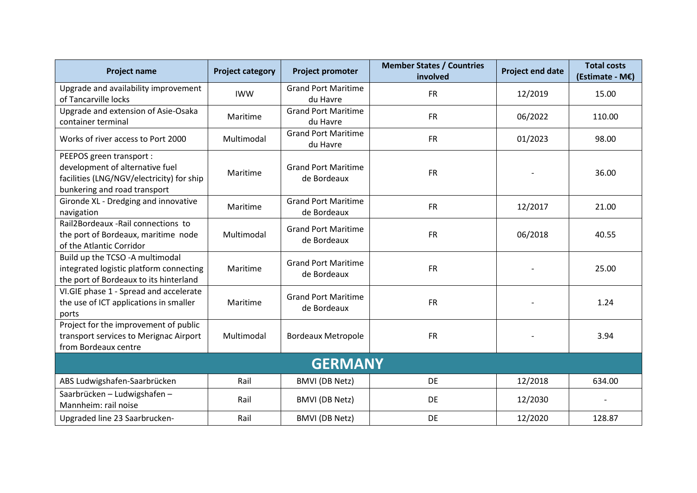| <b>Project name</b>                                                                                                                      | <b>Project category</b> | <b>Project promoter</b>                   | <b>Member States / Countries</b><br>involved | <b>Project end date</b> | <b>Total costs</b><br>(Estimate - M€) |  |  |  |  |
|------------------------------------------------------------------------------------------------------------------------------------------|-------------------------|-------------------------------------------|----------------------------------------------|-------------------------|---------------------------------------|--|--|--|--|
| Upgrade and availability improvement<br>of Tancarville locks                                                                             | <b>IWW</b>              | <b>Grand Port Maritime</b><br>du Havre    | <b>FR</b>                                    | 12/2019                 | 15.00                                 |  |  |  |  |
| Upgrade and extension of Asie-Osaka<br>container terminal                                                                                | Maritime                | <b>Grand Port Maritime</b><br>du Havre    | <b>FR</b>                                    | 06/2022                 | 110.00                                |  |  |  |  |
| Works of river access to Port 2000                                                                                                       | Multimodal              | <b>Grand Port Maritime</b><br>du Havre    | <b>FR</b>                                    | 01/2023                 | 98.00                                 |  |  |  |  |
| PEEPOS green transport :<br>development of alternative fuel<br>facilities (LNG/NGV/electricity) for ship<br>bunkering and road transport | Maritime                | <b>Grand Port Maritime</b><br>de Bordeaux | <b>FR</b>                                    |                         | 36.00                                 |  |  |  |  |
| Gironde XL - Dredging and innovative<br>navigation                                                                                       | Maritime                | <b>Grand Port Maritime</b><br>de Bordeaux | <b>FR</b>                                    | 12/2017                 | 21.00                                 |  |  |  |  |
| Rail2Bordeaux - Rail connections to<br>the port of Bordeaux, maritime node<br>of the Atlantic Corridor                                   | Multimodal              | <b>Grand Port Maritime</b><br>de Bordeaux | <b>FR</b>                                    | 06/2018                 | 40.55                                 |  |  |  |  |
| Build up the TCSO -A multimodal<br>integrated logistic platform connecting<br>the port of Bordeaux to its hinterland                     | Maritime                | <b>Grand Port Maritime</b><br>de Bordeaux | <b>FR</b>                                    |                         | 25.00                                 |  |  |  |  |
| VI.GIE phase 1 - Spread and accelerate<br>the use of ICT applications in smaller<br>ports                                                | Maritime                | <b>Grand Port Maritime</b><br>de Bordeaux | <b>FR</b>                                    |                         | 1.24                                  |  |  |  |  |
| Project for the improvement of public<br>transport services to Merignac Airport<br>from Bordeaux centre                                  | Multimodal              | <b>Bordeaux Metropole</b>                 | <b>FR</b>                                    |                         | 3.94                                  |  |  |  |  |
| <b>GERMANY</b>                                                                                                                           |                         |                                           |                                              |                         |                                       |  |  |  |  |
| ABS Ludwigshafen-Saarbrücken                                                                                                             | Rail                    | <b>BMVI</b> (DB Netz)                     | DE                                           | 12/2018                 | 634.00                                |  |  |  |  |
| Saarbrücken - Ludwigshafen -<br>Mannheim: rail noise                                                                                     | Rail                    | <b>BMVI</b> (DB Netz)                     | DE                                           | 12/2030                 |                                       |  |  |  |  |
| Upgraded line 23 Saarbrucken-                                                                                                            | Rail                    | <b>BMVI</b> (DB Netz)                     | DE                                           | 12/2020                 | 128.87                                |  |  |  |  |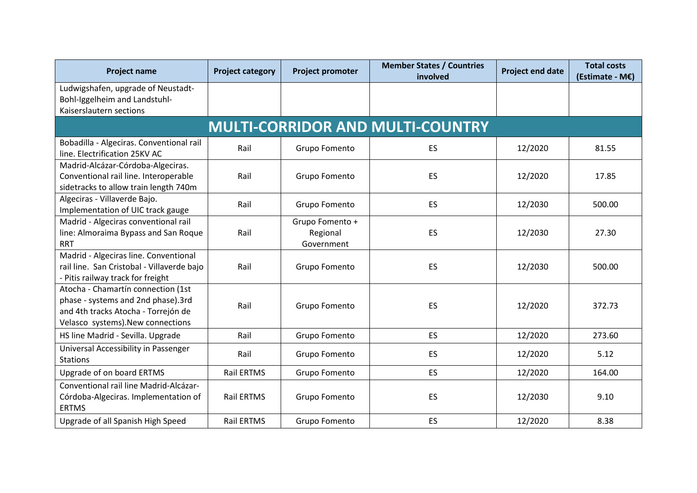| <b>Project name</b>                                                                                                                                  | <b>Project category</b> | <b>Project promoter</b>                   | <b>Member States / Countries</b><br>involved | <b>Project end date</b> | <b>Total costs</b><br>(Estimate - M€) |  |  |  |  |
|------------------------------------------------------------------------------------------------------------------------------------------------------|-------------------------|-------------------------------------------|----------------------------------------------|-------------------------|---------------------------------------|--|--|--|--|
| Ludwigshafen, upgrade of Neustadt-<br>Bohl-Iggelheim and Landstuhl-<br>Kaiserslautern sections                                                       |                         |                                           |                                              |                         |                                       |  |  |  |  |
| <b>MULTI-CORRIDOR AND MULTI-COUNTRY</b>                                                                                                              |                         |                                           |                                              |                         |                                       |  |  |  |  |
| Bobadilla - Algeciras. Conventional rail<br>line. Electrification 25KV AC                                                                            | Rail                    | Grupo Fomento                             | ES                                           | 12/2020                 | 81.55                                 |  |  |  |  |
| Madrid-Alcázar-Córdoba-Algeciras.<br>Conventional rail line. Interoperable<br>sidetracks to allow train length 740m                                  | Rail                    | Grupo Fomento                             | ES                                           | 12/2020                 | 17.85                                 |  |  |  |  |
| Algeciras - Villaverde Bajo.<br>Implementation of UIC track gauge                                                                                    | Rail                    | Grupo Fomento                             | ES                                           | 12/2030                 | 500.00                                |  |  |  |  |
| Madrid - Algeciras conventional rail<br>line: Almoraima Bypass and San Roque<br><b>RRT</b>                                                           | Rail                    | Grupo Fomento +<br>Regional<br>Government | ES                                           | 12/2030                 | 27.30                                 |  |  |  |  |
| Madrid - Algeciras line. Conventional<br>rail line. San Cristobal - Villaverde bajo<br>- Pitis railway track for freight                             | Rail                    | Grupo Fomento                             | ES                                           | 12/2030                 | 500.00                                |  |  |  |  |
| Atocha - Chamartín connection (1st<br>phase - systems and 2nd phase).3rd<br>and 4th tracks Atocha - Torrejón de<br>Velasco systems). New connections | Rail                    | Grupo Fomento                             | ES                                           | 12/2020                 | 372.73                                |  |  |  |  |
| HS line Madrid - Sevilla. Upgrade                                                                                                                    | Rail                    | Grupo Fomento                             | ES                                           | 12/2020                 | 273.60                                |  |  |  |  |
| Universal Accessibility in Passenger<br><b>Stations</b>                                                                                              | Rail                    | Grupo Fomento                             | <b>ES</b>                                    | 12/2020                 | 5.12                                  |  |  |  |  |
| Upgrade of on board ERTMS                                                                                                                            | Rail ERTMS              | Grupo Fomento                             | <b>ES</b>                                    | 12/2020                 | 164.00                                |  |  |  |  |
| Conventional rail line Madrid-Alcázar-<br>Córdoba-Algeciras. Implementation of<br><b>ERTMS</b>                                                       | <b>Rail ERTMS</b>       | Grupo Fomento                             | ES                                           | 12/2030                 | 9.10                                  |  |  |  |  |
| Upgrade of all Spanish High Speed                                                                                                                    | Rail ERTMS              | Grupo Fomento                             | ES                                           | 12/2020                 | 8.38                                  |  |  |  |  |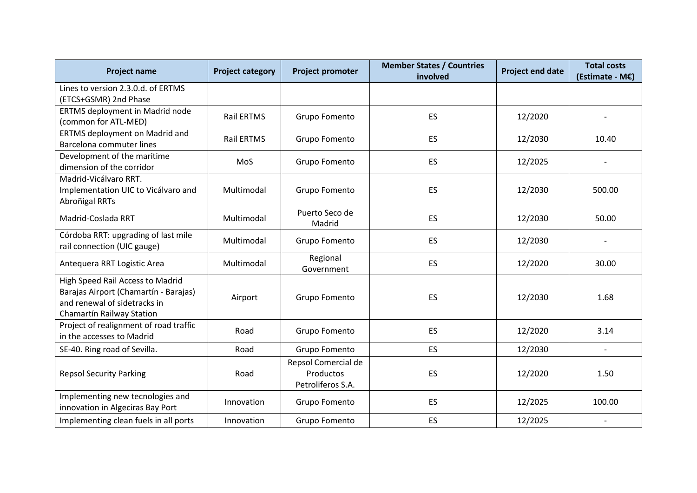| <b>Project name</b>                                                                                                                    | <b>Project category</b> | Project promoter                                      | <b>Member States / Countries</b><br>involved | <b>Project end date</b> | <b>Total costs</b><br>(Estimate - M€) |
|----------------------------------------------------------------------------------------------------------------------------------------|-------------------------|-------------------------------------------------------|----------------------------------------------|-------------------------|---------------------------------------|
| Lines to version 2.3.0.d. of ERTMS<br>(ETCS+GSMR) 2nd Phase                                                                            |                         |                                                       |                                              |                         |                                       |
| ERTMS deployment in Madrid node<br>(common for ATL-MED)                                                                                | <b>Rail ERTMS</b>       | Grupo Fomento                                         | <b>ES</b>                                    | 12/2020                 |                                       |
| <b>ERTMS deployment on Madrid and</b><br>Barcelona commuter lines                                                                      | <b>Rail ERTMS</b>       | Grupo Fomento                                         | ES.                                          | 12/2030                 | 10.40                                 |
| Development of the maritime<br>dimension of the corridor                                                                               | MoS                     | Grupo Fomento                                         | ES.                                          | 12/2025                 |                                       |
| Madrid-Vicálvaro RRT.<br>Implementation UIC to Vicálvaro and<br>Abroñigal RRTs                                                         | Multimodal              | Grupo Fomento                                         | ES                                           | 12/2030                 | 500.00                                |
| Madrid-Coslada RRT                                                                                                                     | Multimodal              | Puerto Seco de<br>Madrid                              | <b>ES</b>                                    | 12/2030                 | 50.00                                 |
| Córdoba RRT: upgrading of last mile<br>rail connection (UIC gauge)                                                                     | Multimodal              | Grupo Fomento                                         | ES.                                          | 12/2030                 |                                       |
| Antequera RRT Logistic Area                                                                                                            | Multimodal              | Regional<br>Government                                | ES                                           | 12/2020                 | 30.00                                 |
| High Speed Rail Access to Madrid<br>Barajas Airport (Chamartín - Barajas)<br>and renewal of sidetracks in<br>Chamartín Railway Station | Airport                 | Grupo Fomento                                         | ES                                           | 12/2030                 | 1.68                                  |
| Project of realignment of road traffic<br>in the accesses to Madrid                                                                    | Road                    | Grupo Fomento                                         | ES.                                          | 12/2020                 | 3.14                                  |
| SE-40. Ring road of Sevilla.                                                                                                           | Road                    | Grupo Fomento                                         | <b>ES</b>                                    | 12/2030                 |                                       |
| <b>Repsol Security Parking</b>                                                                                                         | Road                    | Repsol Comercial de<br>Productos<br>Petroliferos S.A. | ES                                           | 12/2020                 | 1.50                                  |
| Implementing new tecnologies and<br>innovation in Algeciras Bay Port                                                                   | Innovation              | Grupo Fomento                                         | <b>ES</b>                                    | 12/2025                 | 100.00                                |
| Implementing clean fuels in all ports                                                                                                  | Innovation              | Grupo Fomento                                         | ES                                           | 12/2025                 |                                       |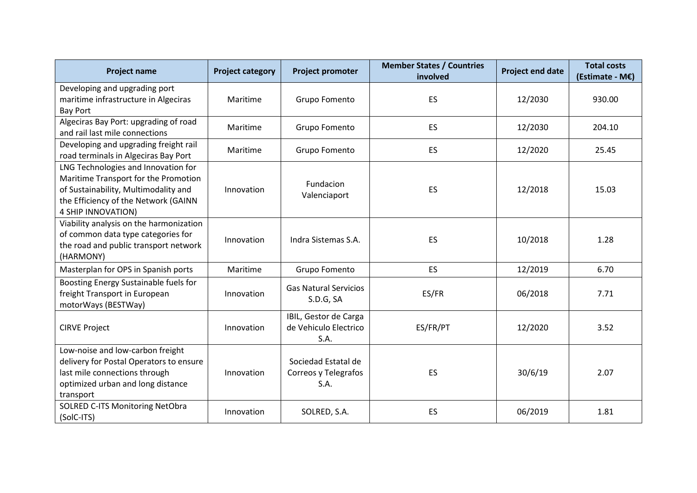| <b>Project name</b>                                                                                                                                                               | <b>Project category</b> | <b>Project promoter</b>                                | <b>Member States / Countries</b><br>involved | <b>Project end date</b> | <b>Total costs</b><br>(Estimate - M€) |
|-----------------------------------------------------------------------------------------------------------------------------------------------------------------------------------|-------------------------|--------------------------------------------------------|----------------------------------------------|-------------------------|---------------------------------------|
| Developing and upgrading port<br>maritime infrastructure in Algeciras<br><b>Bay Port</b>                                                                                          | Maritime                | Grupo Fomento                                          | ES                                           | 12/2030                 | 930.00                                |
| Algeciras Bay Port: upgrading of road<br>and rail last mile connections                                                                                                           | Maritime                | Grupo Fomento                                          | ES                                           | 12/2030                 | 204.10                                |
| Developing and upgrading freight rail<br>road terminals in Algeciras Bay Port                                                                                                     | Maritime                | Grupo Fomento                                          | ES                                           | 12/2020                 | 25.45                                 |
| LNG Technologies and Innovation for<br>Maritime Transport for the Promotion<br>of Sustainability, Multimodality and<br>the Efficiency of the Network (GAINN<br>4 SHIP INNOVATION) | Innovation              | Fundacion<br>Valenciaport                              | ES                                           | 12/2018                 | 15.03                                 |
| Viability analysis on the harmonization<br>of common data type categories for<br>the road and public transport network<br>(HARMONY)                                               | Innovation              | Indra Sistemas S.A.                                    | ES                                           | 10/2018                 | 1.28                                  |
| Masterplan for OPS in Spanish ports                                                                                                                                               | Maritime                | Grupo Fomento                                          | ES.                                          | 12/2019                 | 6.70                                  |
| Boosting Energy Sustainable fuels for<br>freight Transport in European<br>motorWays (BESTWay)                                                                                     | Innovation              | <b>Gas Natural Servicios</b><br>S.D.G, SA              | ES/FR                                        | 06/2018                 | 7.71                                  |
| <b>CIRVE Project</b>                                                                                                                                                              | Innovation              | IBIL, Gestor de Carga<br>de Vehiculo Electrico<br>S.A. | ES/FR/PT                                     | 12/2020                 | 3.52                                  |
| Low-noise and low-carbon freight<br>delivery for Postal Operators to ensure<br>last mile connections through<br>optimized urban and long distance<br>transport                    | Innovation              | Sociedad Estatal de<br>Correos y Telegrafos<br>S.A.    | ES                                           | 30/6/19                 | 2.07                                  |
| SOLRED C-ITS Monitoring NetObra<br>(SolC-ITS)                                                                                                                                     | Innovation              | SOLRED, S.A.                                           | ES                                           | 06/2019                 | 1.81                                  |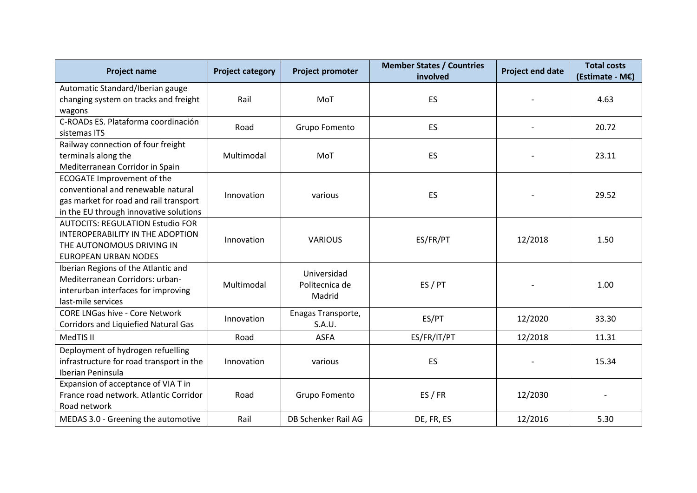| <b>Project name</b>                                                                                                                                         | <b>Project category</b> | Project promoter                        | <b>Member States / Countries</b><br>involved | <b>Project end date</b> | <b>Total costs</b><br>(Estimate - M€) |
|-------------------------------------------------------------------------------------------------------------------------------------------------------------|-------------------------|-----------------------------------------|----------------------------------------------|-------------------------|---------------------------------------|
| Automatic Standard/Iberian gauge<br>changing system on tracks and freight<br>wagons                                                                         | Rail                    | MoT                                     | ES                                           |                         | 4.63                                  |
| C-ROADs ES. Plataforma coordinación<br>sistemas ITS                                                                                                         | Road                    | Grupo Fomento                           | ES                                           |                         | 20.72                                 |
| Railway connection of four freight<br>terminals along the<br>Mediterranean Corridor in Spain                                                                | Multimodal              | MoT                                     | <b>ES</b>                                    |                         | 23.11                                 |
| <b>ECOGATE Improvement of the</b><br>conventional and renewable natural<br>gas market for road and rail transport<br>in the EU through innovative solutions | Innovation              | various                                 | ES                                           |                         | 29.52                                 |
| <b>AUTOCITS: REGULATION Estudio FOR</b><br>INTEROPERABILITY IN THE ADOPTION<br>THE AUTONOMOUS DRIVING IN<br><b>EUROPEAN URBAN NODES</b>                     | Innovation              | <b>VARIOUS</b>                          | ES/FR/PT                                     | 12/2018                 | 1.50                                  |
| Iberian Regions of the Atlantic and<br>Mediterranean Corridors: urban-<br>interurban interfaces for improving<br>last-mile services                         | Multimodal              | Universidad<br>Politecnica de<br>Madrid | ES / PT                                      |                         | 1.00                                  |
| <b>CORE LNGas hive - Core Network</b><br><b>Corridors and Liquiefied Natural Gas</b>                                                                        | Innovation              | Enagas Transporte,<br>S.A.U.            | ES/PT                                        | 12/2020                 | 33.30                                 |
| MedTIS II                                                                                                                                                   | Road                    | <b>ASFA</b>                             | ES/FR/IT/PT                                  | 12/2018                 | 11.31                                 |
| Deployment of hydrogen refuelling<br>infrastructure for road transport in the<br>Iberian Peninsula                                                          | Innovation              | various                                 | ES                                           |                         | 15.34                                 |
| Expansion of acceptance of VIA T in<br>France road network. Atlantic Corridor<br>Road network                                                               | Road                    | Grupo Fomento                           | ES / FR                                      | 12/2030                 |                                       |
| MEDAS 3.0 - Greening the automotive                                                                                                                         | Rail                    | DB Schenker Rail AG                     | DE, FR, ES                                   | 12/2016                 | 5.30                                  |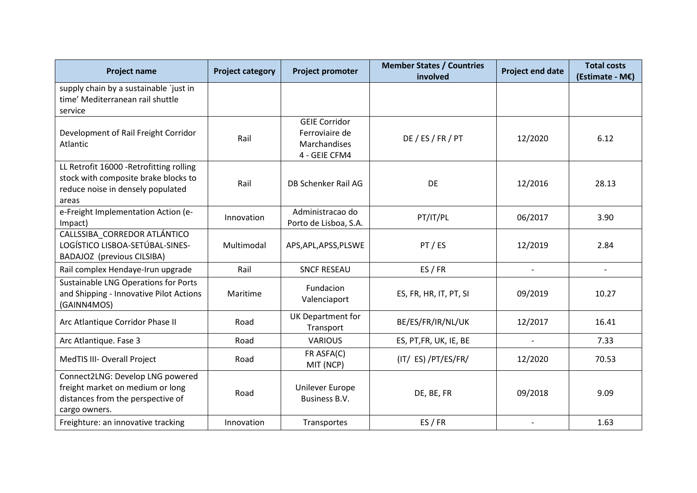| <b>Project name</b>                                                                                                            | <b>Project category</b> | <b>Project promoter</b>                                                 | <b>Member States / Countries</b><br>involved | <b>Project end date</b>  | <b>Total costs</b><br>(Estimate - M€) |
|--------------------------------------------------------------------------------------------------------------------------------|-------------------------|-------------------------------------------------------------------------|----------------------------------------------|--------------------------|---------------------------------------|
| supply chain by a sustainable 'just in<br>time' Mediterranean rail shuttle<br>service                                          |                         |                                                                         |                                              |                          |                                       |
| Development of Rail Freight Corridor<br>Atlantic                                                                               | Rail                    | <b>GEIE Corridor</b><br>Ferroviaire de<br>Marchandises<br>4 - GEIE CFM4 | DE / ES / FR / PT                            | 12/2020                  | 6.12                                  |
| LL Retrofit 16000 - Retrofitting rolling<br>stock with composite brake blocks to<br>reduce noise in densely populated<br>areas | Rail                    | DB Schenker Rail AG                                                     | DE                                           | 12/2016                  | 28.13                                 |
| e-Freight Implementation Action (e-<br>Impact)                                                                                 | Innovation              | Administracao do<br>Porto de Lisboa, S.A.                               | PT/IT/PL                                     | 06/2017                  | 3.90                                  |
| CALLSSIBA_CORREDOR ATLÁNTICO<br>LOGÍSTICO LISBOA-SETÚBAL-SINES-<br><b>BADAJOZ</b> (previous CILSIBA)                           | Multimodal              | APS, APL, APSS, PLSWE                                                   | PT/ES                                        | 12/2019                  | 2.84                                  |
| Rail complex Hendaye-Irun upgrade                                                                                              | Rail                    | <b>SNCF RESEAU</b>                                                      | ES / FR                                      | $ \,$                    | $-$                                   |
| Sustainable LNG Operations for Ports<br>and Shipping - Innovative Pilot Actions<br>(GAINN4MOS)                                 | Maritime                | Fundacion<br>Valenciaport                                               | ES, FR, HR, IT, PT, SI                       | 09/2019                  | 10.27                                 |
| Arc Atlantique Corridor Phase II                                                                                               | Road                    | UK Department for<br>Transport                                          | BE/ES/FR/IR/NL/UK                            | 12/2017                  | 16.41                                 |
| Arc Atlantique. Fase 3                                                                                                         | Road                    | <b>VARIOUS</b>                                                          | ES, PT, FR, UK, IE, BE                       | $\sim$                   | 7.33                                  |
| MedTIS III- Overall Project                                                                                                    | Road                    | FR ASFA(C)<br>MIT (NCP)                                                 | (IT/ ES) /PT/ES/FR/                          | 12/2020                  | 70.53                                 |
| Connect2LNG: Develop LNG powered<br>freight market on medium or long<br>distances from the perspective of<br>cargo owners.     | Road                    | Unilever Europe<br>Business B.V.                                        | DE, BE, FR                                   | 09/2018                  | 9.09                                  |
| Freighture: an innovative tracking                                                                                             | Innovation              | Transportes                                                             | ES / FR                                      | $\overline{\phantom{a}}$ | 1.63                                  |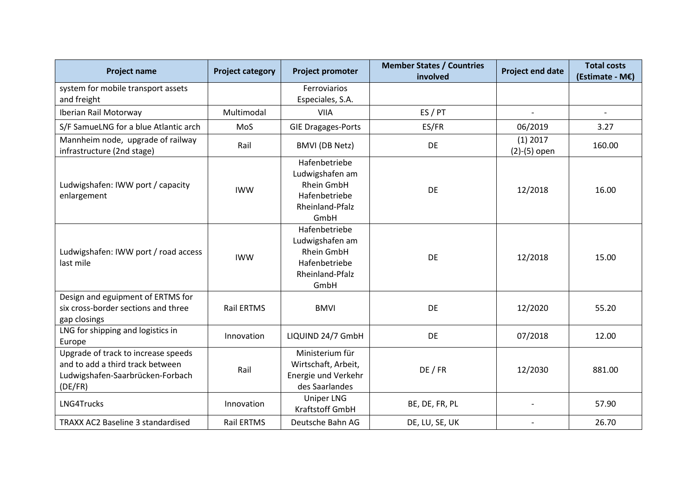| <b>Project name</b>                                                                                                    | <b>Project category</b> | <b>Project promoter</b>                                                                           | <b>Member States / Countries</b><br>involved | <b>Project end date</b>      | <b>Total costs</b><br>(Estimate - M€) |
|------------------------------------------------------------------------------------------------------------------------|-------------------------|---------------------------------------------------------------------------------------------------|----------------------------------------------|------------------------------|---------------------------------------|
| system for mobile transport assets                                                                                     |                         | Ferroviarios                                                                                      |                                              |                              |                                       |
| and freight                                                                                                            |                         | Especiales, S.A.                                                                                  |                                              |                              |                                       |
| Iberian Rail Motorway                                                                                                  | Multimodal              | <b>VIIA</b>                                                                                       | ES / PT                                      | $\overline{\phantom{a}}$     | $\blacksquare$                        |
| S/F SamueLNG for a blue Atlantic arch                                                                                  | MoS                     | <b>GIE Dragages-Ports</b>                                                                         | ES/FR                                        | 06/2019                      | 3.27                                  |
| Mannheim node, upgrade of railway<br>infrastructure (2nd stage)                                                        | Rail                    | <b>BMVI</b> (DB Netz)                                                                             | DE                                           | $(1)$ 2017<br>$(2)-(5)$ open | 160.00                                |
| Ludwigshafen: IWW port / capacity<br>enlargement                                                                       | <b>IWW</b>              | Hafenbetriebe<br>Ludwigshafen am<br><b>Rhein GmbH</b><br>Hafenbetriebe<br>Rheinland-Pfalz<br>GmbH | DE                                           | 12/2018                      | 16.00                                 |
| Ludwigshafen: IWW port / road access<br>last mile                                                                      | <b>IWW</b>              | Hafenbetriebe<br>Ludwigshafen am<br><b>Rhein GmbH</b><br>Hafenbetriebe<br>Rheinland-Pfalz<br>GmbH | DE                                           | 12/2018                      | 15.00                                 |
| Design and eguipment of ERTMS for<br>six cross-border sections and three<br>gap closings                               | <b>Rail ERTMS</b>       | <b>BMVI</b>                                                                                       | DE                                           | 12/2020                      | 55.20                                 |
| LNG for shipping and logistics in<br>Europe                                                                            | Innovation              | LIQUIND 24/7 GmbH                                                                                 | DE                                           | 07/2018                      | 12.00                                 |
| Upgrade of track to increase speeds<br>and to add a third track between<br>Ludwigshafen-Saarbrücken-Forbach<br>(DE/FR) | Rail                    | Ministerium für<br>Wirtschaft, Arbeit,<br>Energie und Verkehr<br>des Saarlandes                   | DE / FR                                      | 12/2030                      | 881.00                                |
| LNG4Trucks                                                                                                             | Innovation              | <b>Uniper LNG</b><br>Kraftstoff GmbH                                                              | BE, DE, FR, PL                               |                              | 57.90                                 |
| TRAXX AC2 Baseline 3 standardised                                                                                      | Rail ERTMS              | Deutsche Bahn AG                                                                                  | DE, LU, SE, UK                               |                              | 26.70                                 |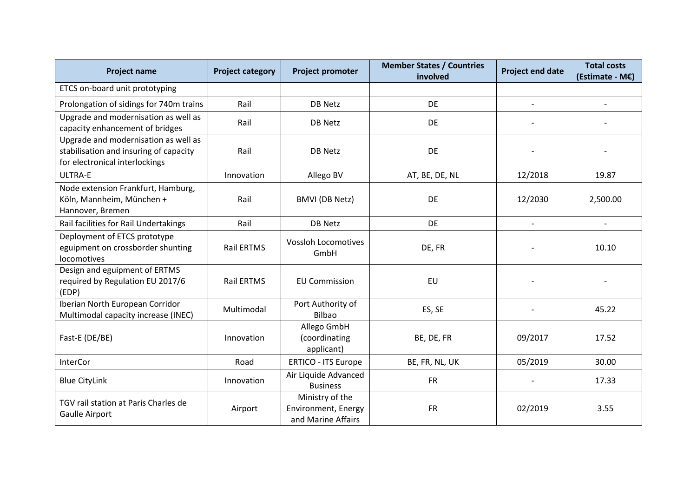| <b>Project name</b>                                                                                              | <b>Project category</b> | Project promoter                                             | <b>Member States / Countries</b><br>involved | <b>Project end date</b>  | <b>Total costs</b><br>(Estimate - M€) |
|------------------------------------------------------------------------------------------------------------------|-------------------------|--------------------------------------------------------------|----------------------------------------------|--------------------------|---------------------------------------|
| ETCS on-board unit prototyping                                                                                   |                         |                                                              |                                              |                          |                                       |
| Prolongation of sidings for 740m trains                                                                          | Rail                    | DB Netz                                                      | <b>DE</b>                                    | $\overline{\phantom{0}}$ |                                       |
| Upgrade and modernisation as well as<br>capacity enhancement of bridges                                          | Rail                    | <b>DB Netz</b>                                               | DE                                           |                          |                                       |
| Upgrade and modernisation as well as<br>stabilisation and insuring of capacity<br>for electronical interlockings | Rail                    | <b>DB Netz</b>                                               | DE                                           |                          |                                       |
| <b>ULTRA-E</b>                                                                                                   | Innovation              | Allego BV                                                    | AT, BE, DE, NL                               | 12/2018                  | 19.87                                 |
| Node extension Frankfurt, Hamburg,<br>Köln, Mannheim, München +<br>Hannover, Bremen                              | Rail                    | <b>BMVI</b> (DB Netz)                                        | DE                                           | 12/2030                  | 2,500.00                              |
| Rail facilities for Rail Undertakings                                                                            | Rail                    | <b>DB Netz</b>                                               | <b>DE</b>                                    |                          |                                       |
| Deployment of ETCS prototype<br>eguipment on crossborder shunting<br>locomotives                                 | <b>Rail ERTMS</b>       | <b>Vossloh Locomotives</b><br>GmbH                           | DE, FR                                       |                          | 10.10                                 |
| Design and eguipment of ERTMS<br>required by Regulation EU 2017/6<br>(EDP)                                       | <b>Rail ERTMS</b>       | <b>EU Commission</b>                                         | EU                                           |                          |                                       |
| Iberian North European Corridor<br>Multimodal capacity increase (INEC)                                           | Multimodal              | Port Authority of<br>Bilbao                                  | ES, SE                                       |                          | 45.22                                 |
| Fast-E (DE/BE)                                                                                                   | Innovation              | Allego GmbH<br>(coordinating<br>applicant)                   | BE, DE, FR                                   | 09/2017                  | 17.52                                 |
| <b>InterCor</b>                                                                                                  | Road                    | <b>ERTICO - ITS Europe</b>                                   | BE, FR, NL, UK                               | 05/2019                  | 30.00                                 |
| <b>Blue CityLink</b>                                                                                             | Innovation              | Air Liquide Advanced<br><b>Business</b>                      | <b>FR</b>                                    |                          | 17.33                                 |
| TGV rail station at Paris Charles de<br>Gaulle Airport                                                           | Airport                 | Ministry of the<br>Environment, Energy<br>and Marine Affairs | <b>FR</b>                                    | 02/2019                  | 3.55                                  |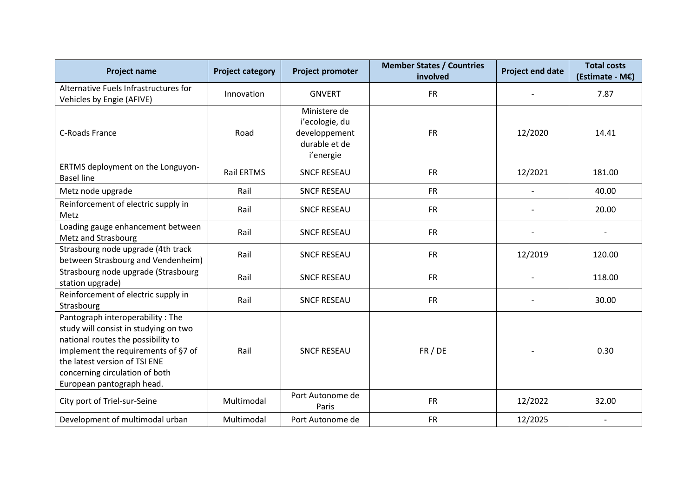| <b>Project name</b>                                                                                                                                                                                                                                    | <b>Project category</b> | <b>Project promoter</b>                                                       | <b>Member States / Countries</b><br>involved | <b>Project end date</b> | <b>Total costs</b><br>(Estimate - M€) |
|--------------------------------------------------------------------------------------------------------------------------------------------------------------------------------------------------------------------------------------------------------|-------------------------|-------------------------------------------------------------------------------|----------------------------------------------|-------------------------|---------------------------------------|
| Alternative Fuels Infrastructures for<br>Vehicles by Engie (AFIVE)                                                                                                                                                                                     | Innovation              | <b>GNVERT</b>                                                                 | <b>FR</b>                                    |                         | 7.87                                  |
| <b>C-Roads France</b>                                                                                                                                                                                                                                  | Road                    | Ministere de<br>i'ecologie, du<br>developpement<br>durable et de<br>i'energie | <b>FR</b>                                    | 12/2020                 | 14.41                                 |
| ERTMS deployment on the Longuyon-<br><b>Basel line</b>                                                                                                                                                                                                 | <b>Rail ERTMS</b>       | <b>SNCF RESEAU</b>                                                            | <b>FR</b>                                    | 12/2021                 | 181.00                                |
| Metz node upgrade                                                                                                                                                                                                                                      | Rail                    | <b>SNCF RESEAU</b>                                                            | <b>FR</b>                                    | $\mathbf{r}$            | 40.00                                 |
| Reinforcement of electric supply in<br>Metz                                                                                                                                                                                                            | Rail                    | <b>SNCF RESEAU</b>                                                            | <b>FR</b>                                    | $\blacksquare$          | 20.00                                 |
| Loading gauge enhancement between<br>Metz and Strasbourg                                                                                                                                                                                               | Rail                    | <b>SNCF RESEAU</b>                                                            | <b>FR</b>                                    |                         |                                       |
| Strasbourg node upgrade (4th track<br>between Strasbourg and Vendenheim)                                                                                                                                                                               | Rail                    | <b>SNCF RESEAU</b>                                                            | <b>FR</b>                                    | 12/2019                 | 120.00                                |
| Strasbourg node upgrade (Strasbourg<br>station upgrade)                                                                                                                                                                                                | Rail                    | <b>SNCF RESEAU</b>                                                            | <b>FR</b>                                    |                         | 118.00                                |
| Reinforcement of electric supply in<br>Strasbourg                                                                                                                                                                                                      | Rail                    | <b>SNCF RESEAU</b>                                                            | <b>FR</b>                                    |                         | 30.00                                 |
| Pantograph interoperability: The<br>study will consist in studying on two<br>national routes the possibility to<br>implement the requirements of §7 of<br>the latest version of TSI ENE<br>concerning circulation of both<br>European pantograph head. | Rail                    | <b>SNCF RESEAU</b>                                                            | FR / DE                                      |                         | 0.30                                  |
| City port of Triel-sur-Seine                                                                                                                                                                                                                           | Multimodal              | Port Autonome de<br>Paris                                                     | <b>FR</b>                                    | 12/2022                 | 32.00                                 |
| Development of multimodal urban                                                                                                                                                                                                                        | Multimodal              | Port Autonome de                                                              | <b>FR</b>                                    | 12/2025                 |                                       |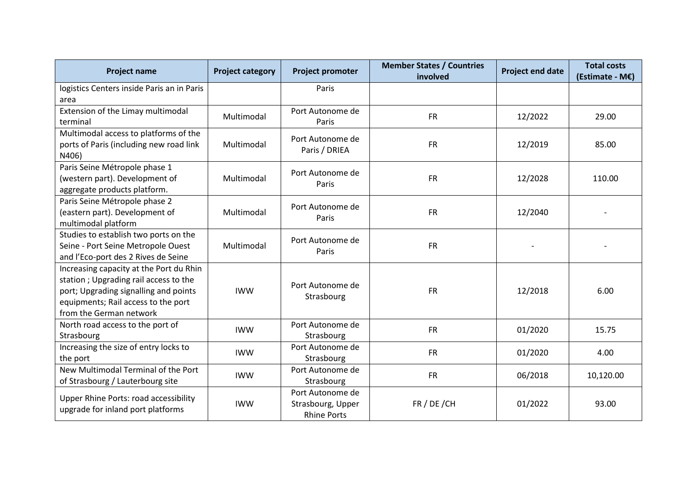| <b>Project name</b>                                                                                                                                                                         | <b>Project category</b> | <b>Project promoter</b>                                     | <b>Member States / Countries</b><br>involved | <b>Project end date</b> | <b>Total costs</b><br>(Estimate - M€) |
|---------------------------------------------------------------------------------------------------------------------------------------------------------------------------------------------|-------------------------|-------------------------------------------------------------|----------------------------------------------|-------------------------|---------------------------------------|
| logistics Centers inside Paris an in Paris<br>area                                                                                                                                          |                         | Paris                                                       |                                              |                         |                                       |
| Extension of the Limay multimodal<br>terminal                                                                                                                                               | Multimodal              | Port Autonome de<br>Paris                                   | <b>FR</b>                                    | 12/2022                 | 29.00                                 |
| Multimodal access to platforms of the<br>ports of Paris (including new road link<br>N406)                                                                                                   | Multimodal              | Port Autonome de<br>Paris / DRIEA                           | <b>FR</b>                                    | 12/2019                 | 85.00                                 |
| Paris Seine Métropole phase 1<br>(western part). Development of<br>aggregate products platform.                                                                                             | Multimodal              | Port Autonome de<br>Paris                                   | <b>FR</b>                                    | 12/2028                 | 110.00                                |
| Paris Seine Métropole phase 2<br>(eastern part). Development of<br>multimodal platform                                                                                                      | Multimodal              | Port Autonome de<br>Paris                                   | <b>FR</b>                                    | 12/2040                 |                                       |
| Studies to establish two ports on the<br>Seine - Port Seine Metropole Ouest<br>and l'Eco-port des 2 Rives de Seine                                                                          | Multimodal              | Port Autonome de<br>Paris                                   | <b>FR</b>                                    |                         |                                       |
| Increasing capacity at the Port du Rhin<br>station; Upgrading rail access to the<br>port; Upgrading signalling and points<br>equipments; Rail access to the port<br>from the German network | <b>IWW</b>              | Port Autonome de<br>Strasbourg                              | <b>FR</b>                                    | 12/2018                 | 6.00                                  |
| North road access to the port of<br>Strasbourg                                                                                                                                              | <b>IWW</b>              | Port Autonome de<br>Strasbourg                              | <b>FR</b>                                    | 01/2020                 | 15.75                                 |
| Increasing the size of entry locks to<br>the port                                                                                                                                           | <b>IWW</b>              | Port Autonome de<br>Strasbourg                              | <b>FR</b>                                    | 01/2020                 | 4.00                                  |
| New Multimodal Terminal of the Port<br>of Strasbourg / Lauterbourg site                                                                                                                     | <b>IWW</b>              | Port Autonome de<br>Strasbourg                              | <b>FR</b>                                    | 06/2018                 | 10,120.00                             |
| <b>Upper Rhine Ports: road accessibility</b><br>upgrade for inland port platforms                                                                                                           | <b>IWW</b>              | Port Autonome de<br>Strasbourg, Upper<br><b>Rhine Ports</b> | FR / DE / CH                                 | 01/2022                 | 93.00                                 |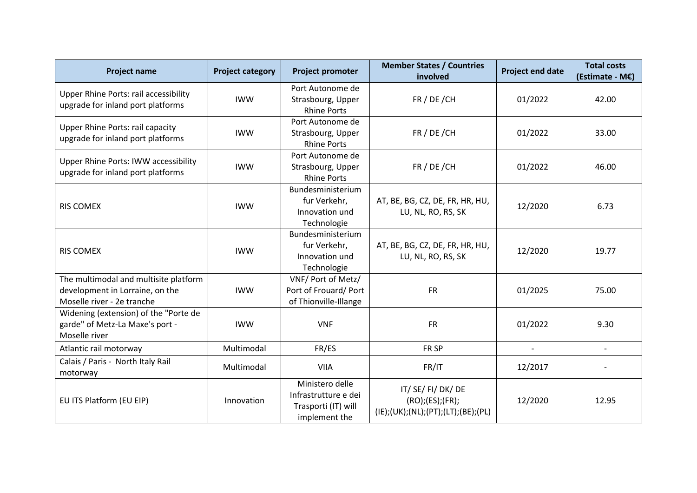| <b>Project name</b>                                                                                    | <b>Project category</b> | <b>Project promoter</b>                                                         | <b>Member States / Countries</b><br>involved                              | <b>Project end date</b>  | <b>Total costs</b><br>(Estimate - M€) |
|--------------------------------------------------------------------------------------------------------|-------------------------|---------------------------------------------------------------------------------|---------------------------------------------------------------------------|--------------------------|---------------------------------------|
| <b>Upper Rhine Ports: rail accessibility</b><br>upgrade for inland port platforms                      | <b>IWW</b>              | Port Autonome de<br>Strasbourg, Upper<br><b>Rhine Ports</b>                     | FR / DE / CH                                                              | 01/2022                  | 42.00                                 |
| <b>Upper Rhine Ports: rail capacity</b><br>upgrade for inland port platforms                           | <b>IWW</b>              | Port Autonome de<br>Strasbourg, Upper<br><b>Rhine Ports</b>                     | FR / DE / CH                                                              | 01/2022                  | 33.00                                 |
| Upper Rhine Ports: IWW accessibility<br>upgrade for inland port platforms                              | <b>IWW</b>              | Port Autonome de<br>Strasbourg, Upper<br><b>Rhine Ports</b>                     | FR / DE / CH                                                              | 01/2022                  | 46.00                                 |
| <b>RIS COMEX</b>                                                                                       | <b>IWW</b>              | Bundesministerium<br>fur Verkehr,<br>Innovation und<br>Technologie              | AT, BE, BG, CZ, DE, FR, HR, HU,<br>LU, NL, RO, RS, SK                     | 12/2020                  | 6.73                                  |
| <b>RIS COMEX</b>                                                                                       | <b>IWW</b>              | Bundesministerium<br>fur Verkehr,<br>Innovation und<br>Technologie              | AT, BE, BG, CZ, DE, FR, HR, HU,<br>LU, NL, RO, RS, SK                     | 12/2020                  | 19.77                                 |
| The multimodal and multisite platform<br>development in Lorraine, on the<br>Moselle river - 2e tranche | <b>IWW</b>              | VNF/ Port of Metz/<br>Port of Frouard/Port<br>of Thionville-Illange             | <b>FR</b>                                                                 | 01/2025                  | 75.00                                 |
| Widening (extension) of the "Porte de<br>garde" of Metz-La Maxe's port -<br>Moselle river              | <b>IWW</b>              | <b>VNF</b>                                                                      | <b>FR</b>                                                                 | 01/2022                  | 9.30                                  |
| Atlantic rail motorway                                                                                 | Multimodal              | FR/ES                                                                           | FR <sub>SP</sub>                                                          | $\overline{\phantom{a}}$ | $\overline{\phantom{a}}$              |
| Calais / Paris - North Italy Rail<br>motorway                                                          | Multimodal              | <b>VIIA</b>                                                                     | FR/IT                                                                     | 12/2017                  |                                       |
| EU ITS Platform (EU EIP)                                                                               | Innovation              | Ministero delle<br>Infrastrutture e dei<br>Trasporti (IT) will<br>implement the | IT/SE/FI/DK/DE<br>(RO); (ES); (FR);<br>(IE);(UK);(NL);(PT);(LT);(BE);(PL) | 12/2020                  | 12.95                                 |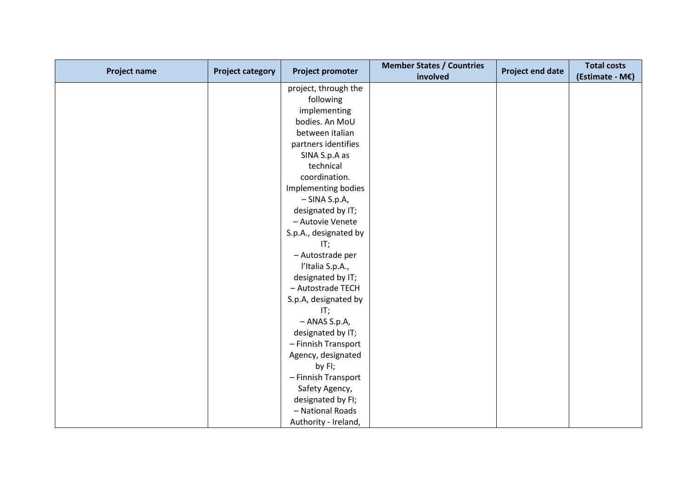| <b>Project name</b> | <b>Project category</b> | <b>Project promoter</b> | <b>Member States / Countries</b><br>involved | <b>Project end date</b> | <b>Total costs</b><br>(Estimate - M€) |
|---------------------|-------------------------|-------------------------|----------------------------------------------|-------------------------|---------------------------------------|
|                     |                         |                         |                                              |                         |                                       |
|                     |                         | project, through the    |                                              |                         |                                       |
|                     |                         | following               |                                              |                         |                                       |
|                     |                         | implementing            |                                              |                         |                                       |
|                     |                         | bodies. An MoU          |                                              |                         |                                       |
|                     |                         | between italian         |                                              |                         |                                       |
|                     |                         | partners identifies     |                                              |                         |                                       |
|                     |                         | SINA S.p.A as           |                                              |                         |                                       |
|                     |                         | technical               |                                              |                         |                                       |
|                     |                         | coordination.           |                                              |                         |                                       |
|                     |                         | Implementing bodies     |                                              |                         |                                       |
|                     |                         | $-$ SINA S.p.A,         |                                              |                         |                                       |
|                     |                         | designated by IT;       |                                              |                         |                                       |
|                     |                         | - Autovie Venete        |                                              |                         |                                       |
|                     |                         | S.p.A., designated by   |                                              |                         |                                       |
|                     |                         | IT;                     |                                              |                         |                                       |
|                     |                         | - Autostrade per        |                                              |                         |                                       |
|                     |                         | l'Italia S.p.A.,        |                                              |                         |                                       |
|                     |                         | designated by IT;       |                                              |                         |                                       |
|                     |                         | - Autostrade TECH       |                                              |                         |                                       |
|                     |                         | S.p.A, designated by    |                                              |                         |                                       |
|                     |                         | IT;                     |                                              |                         |                                       |
|                     |                         | - ANAS S.p.A,           |                                              |                         |                                       |
|                     |                         | designated by IT;       |                                              |                         |                                       |
|                     |                         | - Finnish Transport     |                                              |                         |                                       |
|                     |                         | Agency, designated      |                                              |                         |                                       |
|                     |                         | by FI;                  |                                              |                         |                                       |
|                     |                         | - Finnish Transport     |                                              |                         |                                       |
|                     |                         | Safety Agency,          |                                              |                         |                                       |
|                     |                         | designated by FI;       |                                              |                         |                                       |
|                     |                         | - National Roads        |                                              |                         |                                       |
|                     |                         | Authority - Ireland,    |                                              |                         |                                       |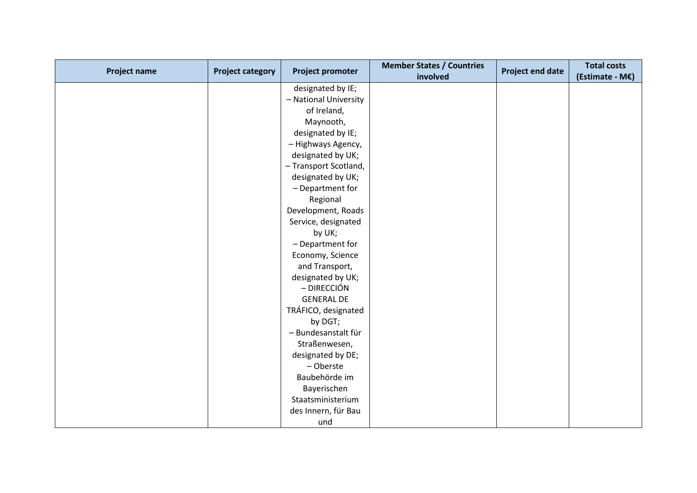| <b>Project name</b> | <b>Project category</b> | <b>Project promoter</b> | <b>Member States / Countries</b><br>involved | <b>Project end date</b> | <b>Total costs</b><br>(Estimate - M€) |
|---------------------|-------------------------|-------------------------|----------------------------------------------|-------------------------|---------------------------------------|
|                     |                         | designated by IE;       |                                              |                         |                                       |
|                     |                         | - National University   |                                              |                         |                                       |
|                     |                         | of Ireland,             |                                              |                         |                                       |
|                     |                         | Maynooth,               |                                              |                         |                                       |
|                     |                         | designated by IE;       |                                              |                         |                                       |
|                     |                         | - Highways Agency,      |                                              |                         |                                       |
|                     |                         | designated by UK;       |                                              |                         |                                       |
|                     |                         | - Transport Scotland,   |                                              |                         |                                       |
|                     |                         | designated by UK;       |                                              |                         |                                       |
|                     |                         | - Department for        |                                              |                         |                                       |
|                     |                         | Regional                |                                              |                         |                                       |
|                     |                         | Development, Roads      |                                              |                         |                                       |
|                     |                         | Service, designated     |                                              |                         |                                       |
|                     |                         | by UK;                  |                                              |                         |                                       |
|                     |                         | - Department for        |                                              |                         |                                       |
|                     |                         | Economy, Science        |                                              |                         |                                       |
|                     |                         | and Transport,          |                                              |                         |                                       |
|                     |                         | designated by UK;       |                                              |                         |                                       |
|                     |                         | - DIRECCIÓN             |                                              |                         |                                       |
|                     |                         | <b>GENERAL DE</b>       |                                              |                         |                                       |
|                     |                         | TRÁFICO, designated     |                                              |                         |                                       |
|                     |                         | by DGT;                 |                                              |                         |                                       |
|                     |                         | - Bundesanstalt für     |                                              |                         |                                       |
|                     |                         | Straßenwesen,           |                                              |                         |                                       |
|                     |                         | designated by DE;       |                                              |                         |                                       |
|                     |                         | - Oberste               |                                              |                         |                                       |
|                     |                         | Baubehörde im           |                                              |                         |                                       |
|                     |                         | Bayerischen             |                                              |                         |                                       |
|                     |                         | Staatsministerium       |                                              |                         |                                       |
|                     |                         | des Innern, für Bau     |                                              |                         |                                       |
|                     |                         | und                     |                                              |                         |                                       |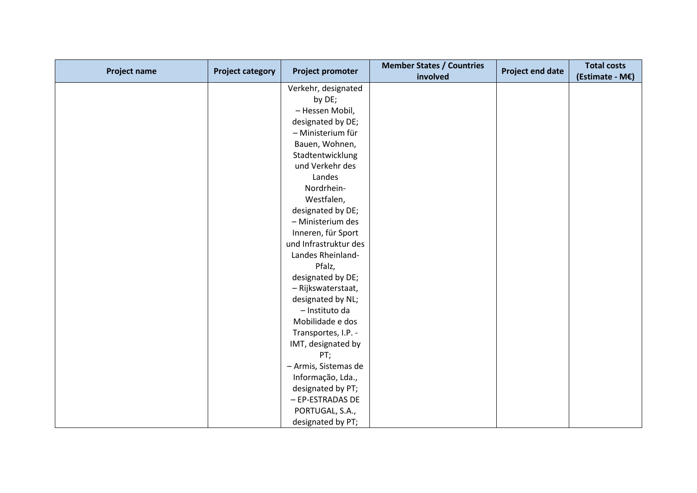| <b>Project name</b> | <b>Project category</b> | Project promoter      | <b>Member States / Countries</b> | <b>Project end date</b> | <b>Total costs</b> |
|---------------------|-------------------------|-----------------------|----------------------------------|-------------------------|--------------------|
|                     |                         |                       | involved                         |                         | (Estimate - M€)    |
|                     |                         | Verkehr, designated   |                                  |                         |                    |
|                     |                         | by DE;                |                                  |                         |                    |
|                     |                         | - Hessen Mobil,       |                                  |                         |                    |
|                     |                         | designated by DE;     |                                  |                         |                    |
|                     |                         | - Ministerium für     |                                  |                         |                    |
|                     |                         | Bauen, Wohnen,        |                                  |                         |                    |
|                     |                         | Stadtentwicklung      |                                  |                         |                    |
|                     |                         | und Verkehr des       |                                  |                         |                    |
|                     |                         | Landes                |                                  |                         |                    |
|                     |                         | Nordrhein-            |                                  |                         |                    |
|                     |                         | Westfalen,            |                                  |                         |                    |
|                     |                         | designated by DE;     |                                  |                         |                    |
|                     |                         | - Ministerium des     |                                  |                         |                    |
|                     |                         | Inneren, für Sport    |                                  |                         |                    |
|                     |                         | und Infrastruktur des |                                  |                         |                    |
|                     |                         | Landes Rheinland-     |                                  |                         |                    |
|                     |                         | Pfalz,                |                                  |                         |                    |
|                     |                         | designated by DE;     |                                  |                         |                    |
|                     |                         | - Rijkswaterstaat,    |                                  |                         |                    |
|                     |                         | designated by NL;     |                                  |                         |                    |
|                     |                         | - Instituto da        |                                  |                         |                    |
|                     |                         | Mobilidade e dos      |                                  |                         |                    |
|                     |                         | Transportes, I.P. -   |                                  |                         |                    |
|                     |                         | IMT, designated by    |                                  |                         |                    |
|                     |                         | PT;                   |                                  |                         |                    |
|                     |                         | - Armis, Sistemas de  |                                  |                         |                    |
|                     |                         | Informação, Lda.,     |                                  |                         |                    |
|                     |                         | designated by PT;     |                                  |                         |                    |
|                     |                         | - EP-ESTRADAS DE      |                                  |                         |                    |
|                     |                         | PORTUGAL, S.A.,       |                                  |                         |                    |
|                     |                         | designated by PT;     |                                  |                         |                    |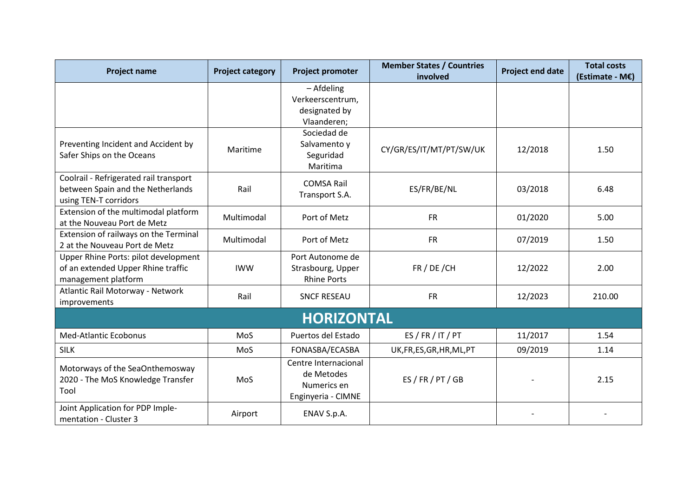| <b>Project name</b>                                                                                  | <b>Project category</b> | <b>Project promoter</b>                                                 | <b>Member States / Countries</b><br>involved | <b>Project end date</b> | <b>Total costs</b><br>(Estimate - M€) |  |
|------------------------------------------------------------------------------------------------------|-------------------------|-------------------------------------------------------------------------|----------------------------------------------|-------------------------|---------------------------------------|--|
|                                                                                                      |                         | - Afdeling<br>Verkeerscentrum,<br>designated by<br>Vlaanderen;          |                                              |                         |                                       |  |
| Preventing Incident and Accident by<br>Safer Ships on the Oceans                                     | Maritime                | Sociedad de<br>Salvamento y<br>Seguridad<br>Maritima                    | CY/GR/ES/IT/MT/PT/SW/UK                      | 12/2018                 | 1.50                                  |  |
| Coolrail - Refrigerated rail transport<br>between Spain and the Netherlands<br>using TEN-T corridors | Rail                    | <b>COMSA Rail</b><br>Transport S.A.                                     | ES/FR/BE/NL                                  | 03/2018                 | 6.48                                  |  |
| Extension of the multimodal platform<br>at the Nouveau Port de Metz                                  | Multimodal              | Port of Metz                                                            | <b>FR</b>                                    | 01/2020                 | 5.00                                  |  |
| Extension of railways on the Terminal<br>2 at the Nouveau Port de Metz                               | Multimodal              | Port of Metz                                                            | <b>FR</b>                                    | 07/2019                 | 1.50                                  |  |
| Upper Rhine Ports: pilot development<br>of an extended Upper Rhine traffic<br>management platform    | <b>IWW</b>              | Port Autonome de<br>Strasbourg, Upper<br><b>Rhine Ports</b>             | FR / DE / CH                                 | 12/2022                 | 2.00                                  |  |
| Atlantic Rail Motorway - Network<br>improvements                                                     | Rail                    | <b>SNCF RESEAU</b>                                                      | <b>FR</b>                                    | 12/2023                 | 210.00                                |  |
| <b>HORIZONTAL</b>                                                                                    |                         |                                                                         |                                              |                         |                                       |  |
| <b>Med-Atlantic Ecobonus</b>                                                                         | MoS                     | Puertos del Estado                                                      | ES / FR / IT / PT                            | 11/2017                 | 1.54                                  |  |
| <b>SILK</b>                                                                                          | MoS                     | FONASBA/ECASBA                                                          | UK, FR, ES, GR, HR, ML, PT                   | 09/2019                 | 1.14                                  |  |
| Motorways of the SeaOnthemosway<br>2020 - The MoS Knowledge Transfer<br>Tool                         | MoS                     | Centre Internacional<br>de Metodes<br>Numerics en<br>Enginyeria - CIMNE | ES / FR / PT / GB                            |                         | 2.15                                  |  |
| Joint Application for PDP Imple-<br>mentation - Cluster 3                                            | Airport                 | ENAV S.p.A.                                                             |                                              |                         |                                       |  |